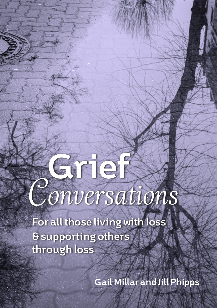# **Grief** *Conversations*

**For all those living with loss & supporting others through loss**

**Gail Millar and Jill Phipps**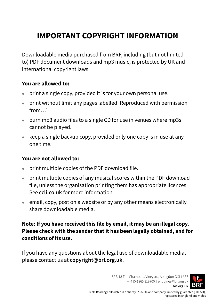# **IMPORTANT COPYRIGHT INFORMATION**

Downloadable media purchased from BRF, including (but not limited to) PDF document downloads and mp3 music, is protected by UK and international copyright laws.

### **You are allowed to:**

- print a single copy, provided it is for your own personal use.
- print without limit any pages labelled 'Reproduced with permission from…'
- burn mp3 audio files to a single CD for use in venues where mp3s cannot be played.
- keep a single backup copy, provided only one copy is in use at any one time.

### **You are not allowed to:**

- print multiple copies of the PDF download file.
- print multiple copies of any musical scores within the PDF download file, unless the organisation printing them has appropriate licences. See **[ccli.co.uk](http://www.ccli.co.uk)** for more information.
- email, copy, post on a website or by any other means electronically share downloadable media.

**Note: If you have received this file by email, it may be an illegal copy. Please check with the sender that it has been legally obtained, and for conditions of its use.**

If you have any questions about the legal use of downloadable media, please contact us at **[copyright@brf.org.uk](mailto:copyright%40brf.org.uk?subject=)**.

> BRF, 15 The Chambers, Vineyard, Abingdon OX14 3FE +44 (0)1865 319700 | [enquiries@brf.org.uk](mailto://enquiries@brf.org.uk)

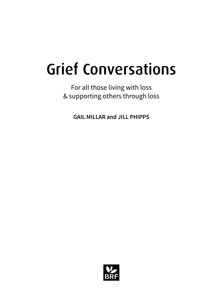# Grief Conversations

For all those living with loss & supporting others through loss

**GAIL MILLAR and JILL PHIPPS**

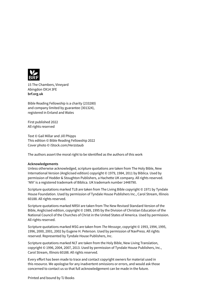

15 The Chambers, Vineyard Abingdon OX14 3FE **[brf.org.uk](https://www.brf.org.uk)**

Bible Reading Fellowship is a charity (233280) and company limited by guarantee (301324), registered in Enland and Wales

First published 2022 All rights reserved

Text © Gail Millar and Jill Phipps This edition © Bible Reading Fellowship 2022 Cover photo © iStock.com/Herzstaub

The authors assert the moral right to be identified as the authors of this work

### **Acknowledgements**

Unless otherwise acknowledged, scripture quotations are taken from The Holy Bible, New International Version (Anglicised edition) copyright © 1979, 1984, 2011 by Biblica. Used by permission of Hodder & Stoughton Publishers, a Hachette UK company. All rights reserved. 'NIV' is a registered trademark of Biblica. UK trademark number 1448790.

Scripture quotations marked TLB are taken from The Living Bible copyright © 1971 by Tyndale House Foundation. Used by permission of Tyndale House Publishers Inc., Carol Stream, Illinois 60188. All rights reserved.

Scripture quotations marked NRSV are taken from The New Revised Standard Version of the Bible, Anglicised edition, copyright © 1989, 1995 by the Division of Christian Education of the National Council of the Churches of Christ in the United States of America. Used by permission. All rights reserved.

Scripture quotations marked MSG are taken from *The Message*, copyright © 1993, 1994, 1995, 1996, 2000, 2001, 2002 by Eugene H. Peterson. Used by permission of NavPress. All rights reserved. Represented by Tyndale House Publishers, Inc.

Scripture quotations marked NLT are taken from the Holy Bible, New Living Translation, copyright © 1996, 2004, 2007, 2013. Used by permission of Tyndale House Publishers, Inc., Carol Stream, Illinois 60188. All rights reserved.

Every effort has been made to trace and contact copyright owners for material used in this resource. We apologise for any inadvertent omissions or errors, and would ask those concerned to contact us so that full acknowledgement can be made in the future.

Printed and bound by TJ Books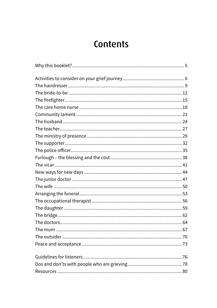# **Contents**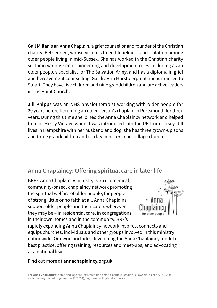**Gail Millar** is an Anna Chaplain, a grief counsellor and founder of the Christian charity, Befriended, whose vision is to end loneliness and isolation among older people living in mid-Sussex. She has worked in the Christian charity sector in various senior pioneering and development roles, including as an older people's specialist for The Salvation Army, and has a diploma in grief and bereavement counselling. Gail lives in Hurstpierpoint and is married to Stuart. They have five children and nine grandchildren and are active leaders in The Point Church.

**Jill Phipps** was an NHS physiotherapist working with older people for 20 years before becoming an older person's chaplain in Portsmouth for three years. During this time she joined the Anna Chaplaincy network and helped to pilot Messy Vintage when it was introduced into the UK from Jersey. Jill lives in Hampshire with her husband and dog; she has three grown-up sons and three grandchildren and is a lay minister in her village church.

### **Anna Chaplaincy: Offering spiritual care in later life**

BRF's Anna Chaplaincy ministry is an ecumenical, community-based, chaplaincy network promoting the spiritual welfare of older people, for people of strong, little or no faith at all. Anna Chaplains support older people and their carers wherever they may be – in residential care, in congregations, in their own homes and in the community. BRF's



rapidly expanding Anna Chaplaincy network inspires, connects and equips churches, individuals and other groups involved in this ministry nationwide. Our work includes developing the Anna Chaplaincy model of best practice, offering training, resources and meet-ups, and advocating at a national level.

### Find out more at **[annachaplaincy.org.uk](https://www.annachaplaincy.org.uk)**

The **Anna Chaplaincy**® name and logo are registered trade marks of Bible Reading Fellowship, a charity (233280) and company limited by guarantee (301324), registered in England and Wales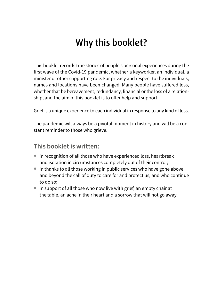# Why this booklet?

This booklet records true stories of people's personal experiences during the first wave of the Covid-19 pandemic, whether a keyworker, an individual, a minister or other supporting role. For privacy and respect to the individuals, names and locations have been changed. Many people have suffered loss, whether that be bereavement, redundancy, financial or the loss of a relationship, and the aim of this booklet is to offer help and support.

Grief is a unique experience to each individual in response to any kind of loss.

The pandemic will always be a pivotal moment in history and will be a constant reminder to those who grieve.

### **This booklet is written:**

- in recognition of all those who have experienced loss, heartbreak and isolation in circumstances completely out of their control;
- in thanks to all those working in public services who have gone above and beyond the call of duty to care for and protect us, and who continue to do so;
- in support of all those who now live with grief, an empty chair at the table, an ache in their heart and a sorrow that will not go away.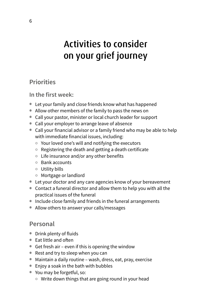# Activities to consider on your grief journey

### **Priorities**

**In the first week:**

- Let your family and close friends know what has happened
- Allow other members of the family to pass the news on
- Call your pastor, minister or local church leader for support
- Call your employer to arrange leave of absence
- Call your financial advisor or a family friend who may be able to help with immediate financial issues, including:
	- ° Your loved one's will and notifying the executors
	- ° Registering the death and getting a death certificate
	- ° Life insurance and/or any other benefits
	- ° Bank accounts
	- ° Utility bills
	- ° Mortgage or landlord
- Let your doctor and any care agencies know of your bereavement
- Contact a funeral director and allow them to help you with all the practical issues of the funeral
- Include close family and friends in the funeral arrangements
- Allow others to answer your calls/messages

### **Personal**

- Drink plenty of fluids
- Eat little and often
- Get fresh air even if this is opening the window
- Rest and try to sleep when you can
- Maintain a daily routine wash, dress, eat, pray, exercise
- Enjoy a soak in the bath with bubbles
- You may be forgetful, so:
	- ° Write down things that are going round in your head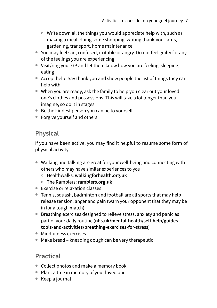- ° Write down all the things you would appreciate help with, such as making a meal, doing some shopping, writing thank-you cards, gardening, transport, home maintenance
- You may feel sad, confused, irritable or angry. Do not feel guilty for any of the feelings you are experiencing
- Visit/ring your GP and let them know how you are feeling, sleeping, eating
- Accept help! Say thank you and show people the list of things they can help with
- When you are ready, ask the family to help you clear out your loved one's clothes and possessions. This will take a lot longer than you imagine, so do it in stages
- Be the kindest person you can be to yourself
- Forgive yourself and others

### **Physical**

If you have been active, you may find it helpful to resume some form of physical activity:

- Walking and talking are great for your well-being and connecting with others who may have similar experiences to you.
	- ° Healthwalks: **[walkingforhealth.org.uk](http://en.wikipedia.org/wiki/Acronym)**
	- ° The Ramblers: **[ramblers.org.uk](http://www.ramblers.org.uk)**
- Exercise or relaxation classes
- Tennis, squash, badminton and football are all sports that may help release tension, anger and pain (warn your opponent that they may be in for a tough match)
- Breathing exercises designed to relieve stress, anxiety and panic as part of your daily routine (**[nhs.uk/mental-health/self-help/guides](http://www.nhs.uk/mental-health/self-help/guides-tools-and-activities/breathing-exercises-for-stress)[tools-and-activities/breathing-exercises-for-stress](http://www.nhs.uk/mental-health/self-help/guides-tools-and-activities/breathing-exercises-for-stress)**)
- Mindfulness exercises
- Make bread kneading dough can be very therapeutic

### **Practical**

- Collect photos and make a memory book
- Plant a tree in memory of your loved one
- Keep a journal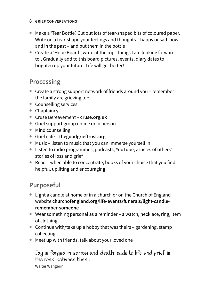### 8 grief conversations

- Make a 'Tear Bottle'. Cut out lots of tear-shaped bits of coloured paper. Write on a tear-shape your feelings and thoughts – happy or sad, now and in the past – and put them in the bottle
- Create a 'Hope Board'; write at the top "things I am looking forward to". Gradually add to this board pictures, events, diary dates to brighten up your future. Life will get better!

### **Processing**

- Create a strong support network of friends around you remember the family are grieving too
- Counselling services
- Chaplaincy
- Cruse Bereavement **[cruse.org.uk](http://www.cruse.org.uk)**
- Grief support group online or in person
- Mind counselling
- Grief café **[thegoodgrieftrust.org](http://www.thegoodgrieftrust.org)**
- Music listen to music that you can immerse yourself in
- Listen to radio programmes, podcasts, YouTube, articles of others' stories of loss and grief
- Read when able to concentrate, books of your choice that you find helpful, uplifting and encouraging

### **Purposeful**

- Light a candle at home or in a church or on the Church of England website **[churchofengland.org/life-events/funerals/light-candle](http://www.churchofengland.org/life-events/funerals/light-candle-remember-someone)[remember-someone](http://www.churchofengland.org/life-events/funerals/light-candle-remember-someone)**
- Wear something personal as a reminder a watch, necklace, ring, item of clothing
- Continue with/take up a hobby that was theirs gardening, stamp collecting
- Meet up with friends, talk about your loved one

Joy is forged in sorrow and death leads to life and grief is the road between them.

Walter Wangerin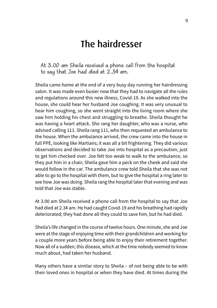# The hairdresser

At 3.00 am Sheila received a phone call from the hospital to say that Joe had died at 2.34 am.

Sheila came home at the end of a very busy day running her hairdressing salon. It was made even busier now that they had to navigate all the rules and regulations around this new illness, Covid-19. As she walked into the house, she could hear her husband Joe coughing. It was very unusual to hear him coughing, so she went straight into the living room where she saw him holding his chest and struggling to breathe. Sheila thought he was having a heart attack. She rang her daughter, who was a nurse, who advised calling 111. Sheila rang 111, who then requested an ambulance to the house. When the ambulance arrived, the crew came into the house in full PPE, looking like Martians; it was all a bit frightening. They did various observations and decided to take Joe into hospital as a precaution, just to get him checked over. Joe felt too weak to walk to the ambulance, so they put him in a chair; Sheila gave him a peck on the cheek and said she would follow in the car. The ambulance crew told Sheila that she was not able to go to the hospital with them, but to give the hospital a ring later to see how Joe was doing. Sheila rang the hospital later that evening and was told that Joe was stable.

At 3.00 am Sheila received a phone call from the hospital to say that Joe had died at 2.34 am. He had caught Covid-19 and his breathing had rapidly deteriorated; they had done all they could to save him, but he had died.

Sheila's life changed in the course of twelve hours. One minute, she and Joe were at the stage of enjoying time with their grandchildren and working for a couple more years before being able to enjoy their retirement together. Now all of a sudden, this disease, which at the time nobody seemed to know much about, had taken her husband.

Many others have a similar story to Sheila – of not being able to be with their loved ones in hospital or when they have died. At times during the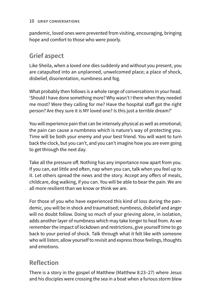### 10 grief conversations

pandemic, loved ones were prevented from visiting, encouraging, bringing hope and comfort to those who were poorly.

### **Grief aspect**

Like Sheila, when a loved one dies suddenly and without you present, you are catapulted into an unplanned, unwelcomed place; a place of shock, disbelief, disorientation, numbness and fog.

What probably then follows is a whole range of conversations in your head. 'Should I have done something more? Why wasn't I there when they needed me most? Were they calling for me? Have the hospital staff got the right person? Are they sure it is MY loved one? Is this just a terrible dream?'

You will experience pain that can be intensely physical as well as emotional; the pain can cause a numbness which is nature's way of protecting you. Time will be both your enemy and your best friend. You will want to turn back the clock, but you can't, and you can't imagine how you are even going to get through the next day.

Take all the pressure off. Nothing has any importance now apart from you. If you can, eat little and often, nap when you can, talk when you feel up to it. Let others spread the news and the story. Accept any offers of meals, childcare, dog walking, if you can. You will be able to bear the pain. We are all more resilient than we know or think we are.

For those of you who have experienced this kind of loss during the pandemic, you will be in shock and traumatised; numbness, disbelief and anger will no doubt follow. Doing so much of your grieving alone, in isolation, adds another layer of numbness which may take longer to heal from. As we remember the impact of lockdown and restrictions, give yourself time to go back to your period of shock. Talk through what it felt like with someone who will listen; allow yourself to revisit and express those feelings, thoughts and emotions.

### **Reflection**

There is a story in the gospel of Matthew (Matthew 8:23–27) where Jesus and his disciples were crossing the sea in a boat when a furious storm blew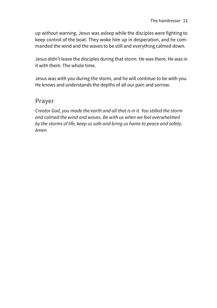up without warning. Jesus was asleep while the disciples were fighting to keep control of the boat. They woke him up in desperation, and he commanded the wind and the waves to be still and everything calmed down.

Jesus didn't leave the disciples during that storm. He was there. He was in it with them. The whole time.

Jesus was with you during the storm, and he will continue to be with you. He knows and understands the depths of all our pain and sorrow.

### **Prayer**

*Creator God, you made the earth and all that is in it. You stilled the storm and calmed the wind and waves. Be with us when we feel overwhelmed by the storms of life, keep us safe and bring us home to peace and safety. Amen*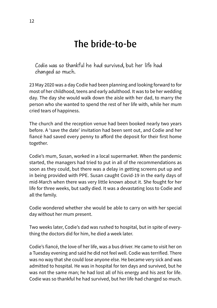# The bride-to-be

Codie was so thankful he had survived, but her life had changed so much.

23 May 2020 was a day Codie had been planning and looking forward to for most of her childhood, teens and early adulthood. It was to be her wedding day. The day she would walk down the aisle with her dad, to marry the person who she wanted to spend the rest of her life with, while her mum cried tears of happiness.

The church and the reception venue had been booked nearly two years before. A 'save the date' invitation had been sent out, and Codie and her fiancé had saved every penny to afford the deposit for their first home together.

Codie's mum, Susan, worked in a local supermarket. When the pandemic started, the managers had tried to put in all of the recommendations as soon as they could, but there was a delay in getting screens put up and in being provided with PPE. Susan caught Covid-19 in the early days of mid-March when there was very little known about it. She fought for her life for three weeks, but sadly died. It was a devastating loss to Codie and all the family.

Codie wondered whether she would be able to carry on with her special day without her mum present.

Two weeks later, Codie's dad was rushed to hospital, but in spite of everything the doctors did for him, he died a week later.

Codie's fiancé, the love of her life, was a bus driver. He came to visit her on a Tuesday evening and said he did not feel well. Codie was terrified. There was no way that she could lose anyone else. He became very sick and was admitted to hospital. He was in hospital for ten days and survived, but he was not the same man; he had lost all of his energy and his zest for life. Codie was so thankful he had survived, but her life had changed so much.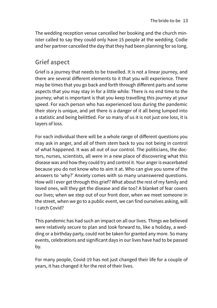The wedding reception venue cancelled her booking and the church minister called to say they could only have 15 people at the wedding. Codie and her partner cancelled the day that they had been planning for so long.

### **Grief aspect**

Grief is a journey that needs to be travelled. It is not a linear journey, and there are several different elements to it that you will experience. There may be times that you go back and forth through different parts and some aspects that you may stay in for a little while. There is no end time to the journey; what is important is that you keep travelling this journey at your speed. For each person who has experienced loss during the pandemic their story is unique, and yet there is a danger of it all being lumped into a statistic and being belittled. For so many of us it is not just one loss, it is layers of loss.

For each individual there will be a whole range of different questions you may ask in anger, and all of them stem back to you not being in control of what happened. It was all out of our control. The politicians, the doctors, nurses, scientists, all were in a new place of discovering what this disease was and how they could try and control it. Your anger is exacerbated because you do not know who to aim it at. Who can give you some of the answers to 'why?' Anxiety comes with so many unanswered questions. How will I ever get through this grief? What about the rest of my family and loved ones, will they get the disease and die too? A blanket of fear covers our lives; when we step out of our front door, when we meet someone in the street, when we go to a public event, we can find ourselves asking, will I catch Covid?

This pandemic has had such an impact on all our lives. Things we believed were relatively secure to plan and look forward to, like a holiday, a wedding or a birthday party, could not be taken for granted any more. So many events, celebrations and significant days in our lives have had to be passed by.

For many people, Covid-19 has not just changed their life for a couple of years, it has changed it for the rest of their lives.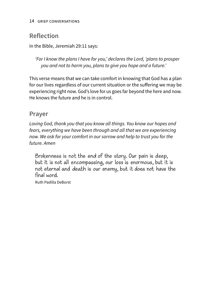### **Reflection**

In the Bible, Jeremiah 29:11 says:

*'For I know the plans I have for you,' declares the Lord, 'plans to prosper you and not to harm you, plans to give you hope and a future.'*

This verse means that we can take comfort in knowing that God has a plan for our lives regardless of our current situation or the suffering we may be experiencing right now. God's love for us goes far beyond the here and now. He knows the future and he is in control.

### **Prayer**

*Loving God, thank you that you know all things. You know our hopes and fears, everything we have been through and all that we are experiencing now. We ask for your comfort in our sorrow and help to trust you for the future. Amen*

Brokenness is not the end of the story. Our pain is deep, but it is not all encompassing, our loss is enormous, but it is not eternal and death is our enemy, but it does not have the final word.

Ruth Padilla DeBorst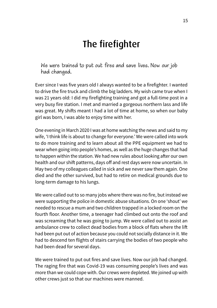# The firefighter

We were trained to put out fires and save lives. Now our job had changed.

Ever since I was five years old I always wanted to be a firefighter. I wanted to drive the fire truck and climb the big ladders. My wish came true when I was 21 years old: I did my firefighting training and got a full-time post in a very busy fire station. I met and married a gorgeous northern lass and life was great. My shifts meant I had a lot of time at home, so when our baby girl was born, I was able to enjoy time with her.

One evening in March 2020 I was at home watching the news and said to my wife, 'I think life is about to change for everyone.' We were called into work to do more training and to learn about all the PPE equipment we had to wear when going into people's homes, as well as the huge changes that had to happen within the station. We had new rules about looking after our own health and our shift patterns, days off and rest days were now uncertain. In May two of my colleagues called in sick and we never saw them again. One died and the other survived, but had to retire on medical grounds due to long-term damage to his lungs.

We were called out to so many jobs where there was no fire, but instead we were supporting the police in domestic abuse situations. On one 'shout' we needed to rescue a mum and two children trapped in a locked room on the fourth floor. Another time, a teenager had climbed out onto the roof and was screaming that he was going to jump. We were called out to assist an ambulance crew to collect dead bodies from a block of flats where the lift had been put out of action because you could not socially distance in it. We had to descend ten flights of stairs carrying the bodies of two people who had been dead for several days.

We were trained to put out fires and save lives. Now our job had changed. The raging fire that was Covid-19 was consuming people's lives and was more than we could cope with. Our crews were depleted. We joined up with other crews just so that our machines were manned.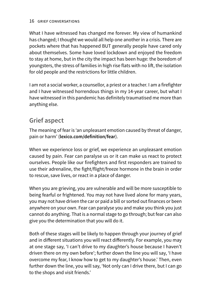### 16 grief conversations

What I have witnessed has changed me forever. My view of humankind has changed; I thought we would all help one another in a crisis. There are pockets where that has happened BUT generally people have cared only about themselves. Some have loved lockdown and enjoyed the freedom to stay at home, but in the city the impact has been huge: the boredom of youngsters, the stress of families in high rise flats with no lift, the isolation for old people and the restrictions for little children.

I am not a social worker, a counsellor, a priest or a teacher. I am a firefighter and I have witnessed horrendous things in my 14-year career, but what I have witnessed in this pandemic has definitely traumatised me more than anything else.

### **Grief aspect**

The meaning of fear is 'an unpleasant emotion caused by threat of danger, pain or harm' (**[lexico.com/definition/fear](https://www.lexico.com/definition/fear)**).

When we experience loss or grief, we experience an unpleasant emotion caused by pain. Fear can paralyse us or it can make us react to protect ourselves. People like our firefighters and first responders are trained to use their adrenaline, the fight/flight/freeze hormone in the brain in order to rescue, save lives, or react in a place of danger.

When you are grieving, you are vulnerable and will be more susceptible to being fearful or frightened. You may not have lived alone for many years, you may not have driven the car or paid a bill or sorted out finances or been anywhere on your own. Fear can paralyse you and make you think you just cannot do anything. That is a normal stage to go through; but fear can also give you the determination that you will do it.

Both of these stages will be likely to happen through your journey of grief and in different situations you will react differently. For example, you may at one stage say, 'I can't drive to my daughter's house because I haven't driven there on my own before'; further down the line you will say, 'I have overcome my fear, I know how to get to my daughter's house.' Then, even further down the line, you will say, 'Not only can I drive there, but I can go to the shops and visit friends.'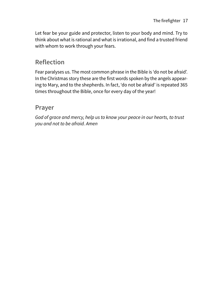Let fear be your guide and protector, listen to your body and mind. Try to think about what is rational and what is irrational, and find a trusted friend with whom to work through your fears.

### **Reflection**

Fear paralyses us. The most common phrase in the Bible is 'do not be afraid'. In the Christmas story these are the first words spoken by the angels appearing to Mary, and to the shepherds. In fact, 'do not be afraid' is repeated 365 times throughout the Bible, once for every day of the year!

### **Prayer**

*God of grace and mercy, help us to know your peace in our hearts, to trust you and not to be afraid. Amen*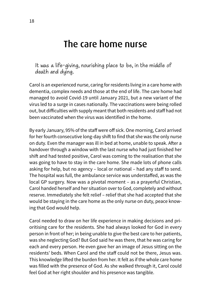# The care home nurse

It was a life-giving, nourishing place to be, in the middle of death and dying.

Carol is an experienced nurse, caring for residents living in a care home with dementia, complex needs and those at the end of life. The care home had managed to avoid Covid-19 until January 2021, but a new variant of the virus led to a surge in cases nationally. The vaccinations were being rolled out, but difficulties with supply meant that both residents and staff had not been vaccinated when the virus was identified in the home.

By early January, 95% of the staff were off sick. One morning, Carol arrived for her fourth consecutive long-day shift to find that she was the only nurse on duty. Even the manager was ill in bed at home, unable to speak. After a handover through a window with the last nurse who had just finished her shift and had tested positive, Carol was coming to the realisation that she was going to have to stay in the care home. She made lots of phone calls asking for help, but no agency – local or national – had any staff to send. The hospital was full, the ambulance service was understaffed, as was the local GP surgery. Now was a pivotal moment – as a prayerful Christian, Carol handed herself and her situation over to God, completely and without reserve. Immediately she felt relief – relief that she had accepted that she would be staying in the care home as the only nurse on duty, peace knowing that God would help.

Carol needed to draw on her life experience in making decisions and prioritising care for the residents. She had always looked for God in every person in front of her; in being unable to give the best care to her patients, was she neglecting God? But God said he was there, that he was caring for each and every person. He even gave her an image of Jesus sitting on the residents' beds. When Carol and the staff could not be there, Jesus was. This knowledge lifted the burden from her. It felt as if the whole care home was filled with the presence of God. As she walked through it, Carol could feel God at her right shoulder and his presence was tangible.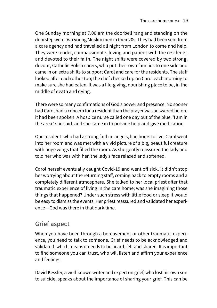One Sunday morning at 7.00 am the doorbell rang and standing on the doorstep were two young Muslim men in their 20s. They had been sent from a care agency and had travelled all night from London to come and help. They were tender, compassionate, loving and patient with the residents, and devoted to their faith. The night shifts were covered by two strong, devout, Catholic Polish carers, who put their own families to one side and came in on extra shifts to support Carol and care for the residents. The staff looked after each other too; the chef checked up on Carol each morning to make sure she had eaten. It was a life-giving, nourishing place to be, in the middle of death and dying.

There were so many confirmations of God's power and presence. No sooner had Carol had a concern for a resident than the prayer was answered before it had been spoken. A hospice nurse called one day out of the blue. 'I am in the area,' she said, and she came in to provide help and give medication.

One resident, who had a strong faith in angels, had hours to live. Carol went into her room and was met with a vivid picture of a big, beautiful creature with huge wings that filled the room. As she gently reassured the lady and told her who was with her, the lady's face relaxed and softened.

Carol herself eventually caught Covid-19 and went off sick. It didn't stop her worrying about the returning staff, coming back to empty rooms and a completely different atmosphere. She talked to her local priest after that traumatic experience of living in the care home; was she imagining those things that happened? Under such stress with little food or sleep it would be easy to dismiss the events. Her priest reassured and validated her experience – God was there in that dark time.

### **Grief aspect**

When you have been through a bereavement or other traumatic experience, you need to talk to someone. Grief needs to be acknowledged and validated, which means it needs to be heard, felt and shared. It is important to find someone you can trust, who will listen and affirm your experience and feelings.

David Kessler, a well-known writer and expert on grief, who lost his own son to suicide, speaks about the importance of sharing your grief. This can be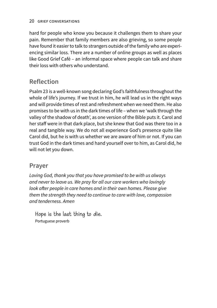hard for people who know you because it challenges them to share your pain. Remember that family members are also grieving, so some people have found it easier to talk to strangers outside of the family who are experiencing similar loss. There are a number of online groups as well as places like Good Grief Café – an informal space where people can talk and share their loss with others who understand.

### **Reflection**

Psalm 23 is a well-known song declaring God's faithfulness throughout the whole of life's journey. If we trust in him, he will lead us in the right ways and will provide times of rest and refreshment when we need them. He also promises to be with us in the dark times of life – when we 'walk through the valley of the shadow of death', as one version of the Bible puts it. Carol and her staff were in that dark place, but she knew that God was there too in a real and tangible way. We do not all experience God's presence quite like Carol did, but he is with us whether we are aware of him or not. If you can trust God in the dark times and hand yourself over to him, as Carol did, he will not let you down.

### **Prayer**

*Loving God, thank you that you have promised to be with us always and never to leave us. We pray for all our care workers who lovingly look after people in care homes and in their own homes. Please give them the strength they need to continue to care with love, compassion and tenderness. Amen*

Hope is the last thing to die. Portuguese proverb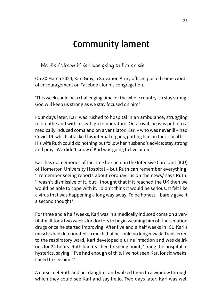# Community lament

We didn't know if Karl was going to live or die.

On 30 March 2020, Karl Gray, a Salvation Army officer, posted some words of encouragement on Facebook for his congregation.

'This week could be a challenging time for the whole country, so stay strong. God will keep us strong as we stay focused on him.'

Four days later, Karl was rushed to hospital in an ambulance, struggling to breathe and with a sky-high temperature. On arrival, he was put into a medically induced coma and on a ventilator. Karl – who was never ill – had Covid-19, which attacked his internal organs, putting him on the critical list. His wife Ruth could do nothing but follow her husband's advice: stay strong and pray. 'We didn't know if Karl was going to live or die.'

Karl has no memories of the time he spent in the Intensive Care Unit (ICU) of Homerton University Hospital – but Ruth can remember everything. 'I remember seeing reports about coronavirus on the news,' says Ruth. 'I wasn't dismissive of it, but I thought that if it reached the UK then we would be able to cope with it. I didn't think it would be serious. It felt like a virus that was happening a long way away. To be honest, I barely gave it a second thought.'

For three and a half weeks, Karl was in a medically induced coma on a ventilator. It took two weeks for doctors to begin weaning him off the sedation drugs once he started improving. After five and a half weeks in ICU Karl's muscles had deteriorated so much that he could no longer walk. Transferred to the respiratory ward, Karl developed a urine infection and was delirious for 24 hours. Ruth had reached breaking point; 'I rang the hospital in hysterics, saying: "I've had enough of this. I've not seen Karl for six weeks. I need to see him!"'

A nurse met Ruth and her daughter and walked them to a window through which they could see Karl and say hello. Two days later, Karl was well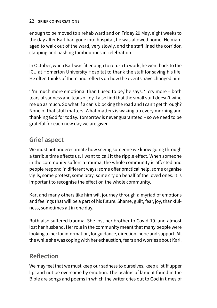### 22 GRIEF CONVERSATIONS

enough to be moved to a rehab ward and on Friday 29 May, eight weeks to the day after Karl had gone into hospital, he was allowed home. He managed to walk out of the ward, very slowly, and the staff lined the corridor, clapping and bashing tambourines in celebration.

In October, when Karl was fit enough to return to work, he went back to the ICU at Homerton University Hospital to thank the staff for saving his life. He often thinks of them and reflects on how the events have changed him.

'I'm much more emotional than I used to be,' he says. 'I cry more – both tears of sadness and tears of joy. I also find that the small stuff doesn't wind me up as much. So what if a car is blocking the road and I can't get through? None of that stuff matters. What matters is waking up every morning and thanking God for today. Tomorrow is never guaranteed – so we need to be grateful for each new day we are given.'

### **Grief aspect**

We must not underestimate how seeing someone we know going through a terrible time affects us. I want to call it the ripple effect. When someone in the community suffers a trauma, the whole community is affected and people respond in different ways; some offer practical help, some organise vigils, some protest, some pray, some cry on behalf of the loved ones. It is important to recognise the effect on the whole community.

Karl and many others like him will journey through a myriad of emotions and feelings that will be a part of his future. Shame, guilt, fear, joy, thankfulness, sometimes all in one day.

Ruth also suffered trauma. She lost her brother to Covid-19, and almost lost her husband. Her role in the community meant that many people were looking to her for information, for guidance, direction, hope and support. All the while she was coping with her exhaustion, fears and worries about Karl.

### **Reflection**

We may feel that we must keep our sadness to ourselves, keep a 'stiff upper lip' and not be overcome by emotion. The psalms of lament found in the Bible are songs and poems in which the writer cries out to God in times of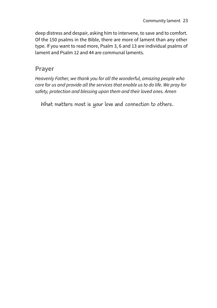deep distress and despair, asking him to intervene, to save and to comfort. Of the 150 psalms in the Bible, there are more of lament than any other type. If you want to read more, Psalm 3, 6 and 13 are individual psalms of lament and Psalm 12 and 44 are communal laments.

### **Prayer**

*Heavenly Father, we thank you for all the wonderful, amazing people who care for us and provide all the services that enable us to do life. We pray for safety, protection and blessing upon them and their loved ones. Amen*

What matters most is your love and connection to others.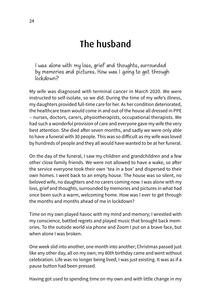# The husband

I was alone with my loss, grief and thoughts, surrounded by memories and pictures. How was I going to get through lockdown?

My wife was diagnosed with terminal cancer in March 2020. We were instructed to self-isolate, so we did. During the time of my wife's illness, my daughters provided full-time care for her. As her condition deteriorated, the healthcare team would come in and out of the house all dressed in PPE – nurses, doctors, carers, physiotherapists, occupational therapists. We had such a wonderful provision of care and everyone gave my wife the very best attention. She died after seven months, and sadly we were only able to have a funeral with 30 people. This was so difficult as my wife was loved by hundreds of people and they all would have wanted to be at her funeral.

On the day of the funeral, I saw my children and grandchildren and a few other close family friends. We were not allowed to have a wake, so after the service everyone took their own 'tea in a box' and dispersed to their own homes. I went back to an empty house. The house was so silent, no beloved wife, no daughters and no carers coming now. I was alone with my loss, grief and thoughts, surrounded by memories and pictures in what had once been such a warm, welcoming home. How was I ever to get through the months and months ahead of me in lockdown?

Time on my own played havoc with my mind and memory; I wrestled with my conscience, battled regrets and played music that brought back memories. To the outside world via phone and Zoom I put on a brave face, but when alone I was broken.

One week slid into another, one month into another; Christmas passed just like any other day, all on my own; my 80th birthday came and went without celebration. Life was no longer being lived; I was just existing. It was as if a pause button had been pressed.

Having got used to spending time on my own and with little change in my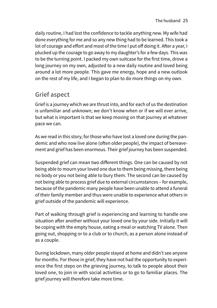daily routine, I had lost the confidence to tackle anything new. My wife had done everything for me and so any new thing had to be learned. This took a lot of courage and effort and most of the time I put off doing it. After a year, I plucked up the courage to go away to my daughter's for a few days. This was to be the turning point. I packed my own suitcase for the first time, drove a long journey on my own, adjusted to a new daily routine and loved being around a lot more people. This gave me energy, hope and a new outlook on the rest of my life, and I began to plan to do more things on my own.

### **Grief aspect**

Grief is a journey which we are thrust into, and for each of us the destination is unfamiliar and unknown; we don't know when or if we will ever arrive, but what is important is that we keep moving on that journey at whatever pace we can.

As we read in this story, for those who have lost a loved one during the pandemic and who now live alone (often older people), the impact of bereavement and grief has been enormous. Their grief journey has been suspended.

Suspended grief can mean two different things. One can be caused by not being able to mourn your loved one due to them being missing, there being no body or you not being able to bury them. The second can be caused by not being able to process grief due to external circumstances – for example, because of the pandemic many people have been unable to attend a funeral of their family member and thus were unable to experience what others in grief outside of the pandemic will experience.

Part of walking through grief is experiencing and learning to handle one situation after another without your loved one by your side. Initially it will be coping with the empty house, eating a meal or watching TV alone. Then going out, shopping or to a club or to church, as a person alone instead of as a couple.

During lockdown, many older people stayed at home and didn't see anyone for months. For those in grief, they have not had the opportunity to experience the first steps on the grieving journey, to talk to people about their loved one, to join in with social activities or to go to familiar places. The grief journey will therefore take more time.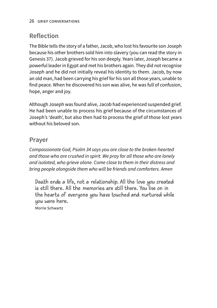### **Reflection**

The Bible tells the story of a father, Jacob, who lost his favourite son Joseph because his other brothers sold him into slavery (you can read the story in Genesis 37). Jacob grieved for his son deeply. Years later, Joseph became a powerful leader in Egypt and met his brothers again. They did not recognise Joseph and he did not initially reveal his identity to them. Jacob, by now an old man, had been carrying his grief for his son all those years, unable to find peace. When he discovered his son was alive, he was full of confusion, hope, anger and joy.

Although Joseph was found alive, Jacob had experienced suspended grief. He had been unable to process his grief because of the circumstances of Joseph's 'death', but also then had to process the grief of those lost years without his beloved son.

### **Prayer**

*Compassionate God, Psalm 34 says you are close to the broken-hearted and those who are crushed in spirit. We pray for all those who are lonely and isolated, who grieve alone. Come close to them in their distress and bring people alongside them who will be friends and comforters. Amen*

Death ends a life, not a relationship. All the love you created is still there. All the memories are still there. You live on in the hearts of everyone you have touched and nurtured while you were here.

Morrie Schwartz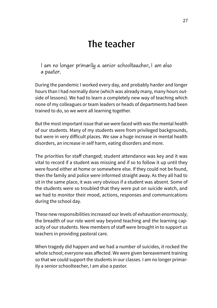# The teacher

I am no longer primarily a senior schoolteacher, I am also a pastor.

During the pandemic I worked every day, and probably harder and longer hours than I had normally done (which was already many, many hours outside of lessons). We had to learn a completely new way of teaching which none of my colleagues or team leaders or heads of departments had been trained to do, so we were all learning together.

But the most important issue that we were faced with was the mental health of our students. Many of my students were from privileged backgrounds, but were in very difficult places. We saw a huge increase in mental health disorders, an increase in self harm, eating disorders and more.

The priorities for staff changed; student attendance was key and it was vital to record if a student was missing and if so to follow it up until they were found either at home or somewhere else. If they could not be found, then the family and police were informed straight away. As they all had to sit in the same place, it was very obvious if a student was absent. Some of the students were so troubled that they were put on suicide watch, and we had to monitor their mood, actions, responses and communications during the school day.

These new responsibilities increased our levels of exhaustion enormously; the breadth of our role went way beyond teaching and the learning capacity of our students. New members of staff were brought in to support us teachers in providing pastoral care.

When tragedy did happen and we had a number of suicides, it rocked the whole school; everyone was affected. We were given bereavement training so that we could support the students in our classes. I am no longer primarily a senior schoolteacher, I am also a pastor.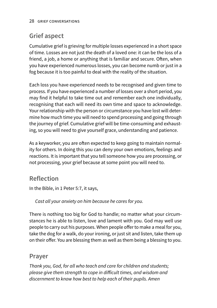### **Grief aspect**

Cumulative grief is grieving for multiple losses experienced in a short space of time. Losses are not just the death of a loved one: it can be the loss of a friend, a job, a home or anything that is familiar and secure. Often, when you have experienced numerous losses, you can become numb or just in a fog because it is too painful to deal with the reality of the situation.

Each loss you have experienced needs to be recognised and given time to process. If you have experienced a number of losses over a short period, you may find it helpful to take time out and remember each one individually, recognising that each will need its own time and space to acknowledge. Your relationship with the person or circumstance you have lost will determine how much time you will need to spend processing and going through the journey of grief. Cumulative grief will be time-consuming and exhausting, so you will need to give yourself grace, understanding and patience.

As a keyworker, you are often expected to keep going to maintain normality for others. In doing this you can deny your own emotions, feelings and reactions. It is important that you tell someone how you are processing, or not processing, your grief because at some point you will need to.

### **Reflection**

In the Bible, in 1 Peter 5:7, it says,

*Cast all your anxiety on him because he cares for you.*

There is nothing too big for God to handle; no matter what your circumstances he is able to listen, love and lament with you. God may well use people to carry out his purposes. When people offer to make a meal for you, take the dog for a walk, do your ironing, or just sit and listen, take them up on their offer. You are blessing them as well as them being a blessing to you.

### **Prayer**

*Thank you, God, for all who teach and care for children and students; please give them strength to cope in difficult times, and wisdom and discernment to know how best to help each of their pupils. Amen*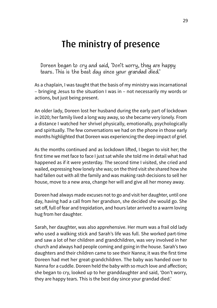# The ministry of presence

Doreen began to cry and said, 'Don't worry, they are happy tears. This is the best day since your grandad died.'

As a chaplain, I was taught that the basis of my ministry was incarnational – bringing Jesus to the situation I was in – not necessarily my words or actions, but just being present.

An older lady, Doreen lost her husband during the early part of lockdown in 2020; her family lived a long way away, so she became very lonely. From a distance I watched her shrivel physically, emotionally, psychologically and spiritually. The few conversations we had on the phone in those early months highlighted that Doreen was experiencing the deep impact of grief.

As the months continued and as lockdown lifted, I began to visit her; the first time we met face to face I just sat while she told me in detail what had happened as if it were yesterday. The second time I visited, she cried and wailed, expressing how lonely she was; on the third visit she shared how she had fallen out with all the family and was making rash decisions to sell her house, move to a new area, change her will and give all her money away.

Doreen had always made excuses not to go and visit her daughter, until one day, having had a call from her grandson, she decided she would go. She set off, full of fear and trepidation, and hours later arrived to a warm loving hug from her daughter.

Sarah, her daughter, was also apprehensive. Her mum was a frail old lady who used a walking stick and Sarah's life was full. She worked part-time and saw a lot of her children and grandchildren, was very involved in her church and always had people coming and going in the house. Sarah's two daughters and their children came to see their Nanna; it was the first time Doreen had met her great-grandchildren. The baby was handed over to Nanna for a cuddle. Doreen held the baby with so much love and affection; she began to cry, looked up to her granddaughter and said, 'Don't worry, they are happy tears. This is the best day since your grandad died.'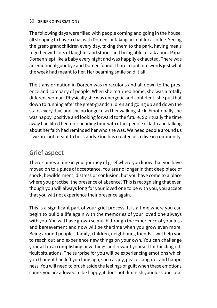### 30 grief conversations

The following days were filled with people coming and going in the house, all stopping to have a chat with Doreen, or taking her out for a coffee. Seeing the great-grandchildren every day, taking them to the park, having meals together with lots of laughter and stories and being able to talk about Papa: Doreen slept like a baby every night and was happily exhausted. There was an emotional goodbye and Doreen found it hard to put into words just what the week had meant to her. Her beaming smile said it all!

The transformation in Doreen was miraculous and all down to the presence and company of people. When she returned home, she was a totally different woman. Physically she was energetic and confident (she put that down to running after the great-grandchildren and going up and down the stairs every day) and she no longer used her walking stick. Emotionally she was happy, positive and looking forward to the future. Spiritually the time away had lifted her too; spending time with other people of faith and talking about her faith had reminded her who she was. We need people around us – we are not meant to be islands. God has created us to live in community.

### **Grief aspect**

There comes a time in your journey of grief where you know that you have moved on to a place of acceptance. You are no longer in that deep place of shock, bewilderment, distress or confusion, but you have come to a place where you practise 'the presence of absence'. This is recognising that even though you will always long for your loved one to be with you, you accept that you will not experience their presence again.

This is a significant part of your grief process. It is a time where you can begin to build a life again with the memories of your loved one always with you. You will have grown so much through the experience of your loss and bereavement and now will be the time when you grow even more. Being around people – family, children, neighbours, friends – will help you to reach out and experience new things on your own. You can challenge yourself in accomplishing new things and reward yourself for tackling difficult situations. The surprise for you will be experiencing emotions which you thought had left you long ago, such as joy, peace, laughter and happiness. You will need to brush aside the feelings of guilt when these emotions come: you are allowed to be happy, it does not diminish your loss one iota.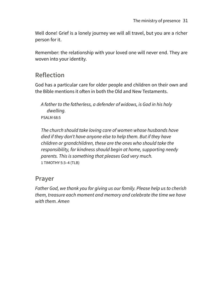Well done! Grief is a lonely journey we will all travel, but you are a richer person for it.

Remember: the relationship with your loved one will never end. They are woven into your identity.

### **Reflection**

God has a particular care for older people and children on their own and the Bible mentions it often in both the Old and New Testaments.

*A father to the fatherless, a defender of widows, is God in his holy dwelling.* PSALM 68:5

*The church should take loving care of women whose husbands have died if they don't have anyone else to help them. But if they have children or grandchildren, these are the ones who should take the responsibility, for kindness should begin at home, supporting needy parents. This is something that pleases God very much.* 1 TIMOTHY 5:3–4 (TLB)

### **Prayer**

*Father God, we thank you for giving us our family. Please help us to cherish them, treasure each moment and memory and celebrate the time we have with them. Amen*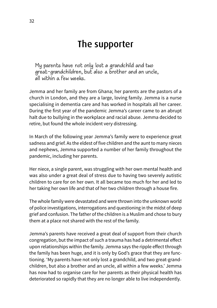# The supporter

My parents have not only lost a grandchild and two great-grandchildren, but also a brother and an uncle, all within a few weeks.

Jemma and her family are from Ghana; her parents are the pastors of a church in London, and they are a large, loving family. Jemma is a nurse specialising in dementia care and has worked in hospitals all her career. During the first year of the pandemic Jemma's career came to an abrupt halt due to bullying in the workplace and racial abuse. Jemma decided to retire, but found the whole incident very distressing.

In March of the following year Jemma's family were to experience great sadness and grief. As the eldest of five children and the aunt to many nieces and nephews, Jemma supported a number of her family throughout the pandemic, including her parents.

Her niece, a single parent, was struggling with her own mental health and was also under a great deal of stress due to having two severely autistic children to care for on her own. It all became too much for her and led to her taking her own life and that of her two children through a house fire.

The whole family were devastated and were thrown into the unknown world of police investigations, interrogations and questioning in the midst of deep grief and confusion. The father of the children is a Muslim and chose to bury them at a place not shared with the rest of the family.

Jemma's parents have received a great deal of support from their church congregation, but the impact of such a trauma has had a detrimental effect upon relationships within the family. Jemma says the ripple effect through the family has been huge, and it is only by God's grace that they are functioning. 'My parents have not only lost a grandchild, and two great-grandchildren, but also a brother and an uncle, all within a few weeks.' Jemma has now had to organise care for her parents as their physical health has deteriorated so rapidly that they are no longer able to live independently.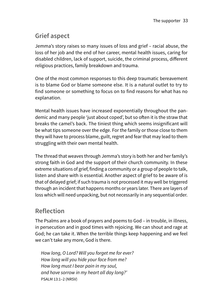### **Grief aspect**

Jemma's story raises so many issues of loss and grief – racial abuse, the loss of her job and the end of her career, mental health issues, caring for disabled children, lack of support, suicide, the criminal process, different religious practices, family breakdown and trauma.

One of the most common responses to this deep traumatic bereavement is to blame God or blame someone else. It is a natural outlet to try to find someone or something to focus on to find reasons for what has no explanation.

Mental health issues have increased exponentially throughout the pandemic and many people 'just about coped', but so often it is the straw that breaks the camel's back. The tiniest thing which seems insignificant will be what tips someone over the edge. For the family or those close to them they will have to process blame, guilt, regret and fear that may lead to them struggling with their own mental health.

The thread that weaves through Jemma's story is both her and her family's strong faith in God and the support of their church community. In these extreme situations of grief, finding a community or a group of people to talk, listen and share with is essential. Another aspect of grief to be aware of is that of delayed grief; if such trauma is not processed it may well be triggered through an incident that happens months or years later. There are layers of loss which will need unpacking, but not necessarily in any sequential order.

### **Reflection**

The Psalms are a book of prayers and poems to God – in trouble, in illness, in persecution and in good times with rejoicing. We can shout and rage at God; he can take it. When the terrible things keep happening and we feel we can't take any more, God is there.

*How long, O Lord? Will you forget me for ever? How long will you hide your face from me? How long must I bear pain in my soul, and have sorrow in my heart all day long?'* PSALM 13:1–2 (NRSV)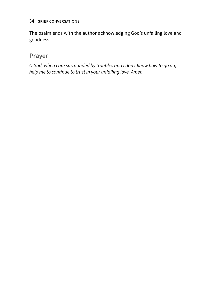The psalm ends with the author acknowledging God's unfailing love and goodness.

### **Prayer**

*O God, when I am surrounded by troubles and I don't know how to go on, help me to continue to trust in your unfailing love. Amen*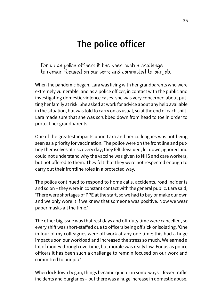# The police officer

For us as police officers it has been such a challenge to remain focused on our work and committed to our job.

When the pandemic began, Lara was living with her grandparents who were extremely vulnerable, and as a police officer, in contact with the public and investigating domestic violence cases, she was very concerned about putting her family at risk. She asked at work for advice about any help available in the situation, but was told to carry on as usual, so at the end of each shift, Lara made sure that she was scrubbed down from head to toe in order to protect her grandparents.

One of the greatest impacts upon Lara and her colleagues was not being seen as a priority for vaccination. The police were on the front line and putting themselves at risk every day; they felt devalued, let down, ignored and could not understand why the vaccine was given to NHS and care workers, but not offered to them. They felt that they were not respected enough to carry out their frontline roles in a protected way.

The police continued to respond to home calls, accidents, road incidents and so on – they were in constant contact with the general public. Lara said, 'There were shortages of PPE at the start, so we had to buy or make our own and we only wore it if we knew that someone was positive. Now we wear paper masks all the time.'

The other big issue was that rest days and off-duty time were cancelled, so every shift was short-staffed due to officers being off sick or isolating. 'One in four of my colleagues were off work at any one time; this had a huge impact upon our workload and increased the stress so much. We earned a lot of money through overtime, but morale was really low. For us as police officers it has been such a challenge to remain focused on our work and committed to our job.'

When lockdown began, things became quieter in some ways – fewer traffic incidents and burglaries – but there was a huge increase in domestic abuse.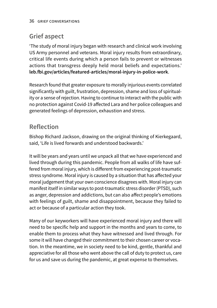# **Grief aspect**

'The study of moral injury began with research and clinical work involving US Army personnel and veterans. Moral injury results from extraordinary, critical life events during which a person fails to prevent or witnesses actions that transgress deeply held moral beliefs and expectations.' **[leb.fbi.gov/articles/featured-articles/moral-injury-in-police-work](http://leb.fbi.gov/articles/featured-articles/moral-injury-in-police-work)**.

Research found that greater exposure to morally injurious events correlated significantly with guilt, frustration, depression, shame and loss of spirituality or a sense of rejection. Having to continue to interact with the public with no protection against Covid-19 affected Lara and her police colleagues and generated feelings of depression, exhaustion and stress.

# **Reflection**

Bishop Richard Jackson, drawing on the original thinking of Kierkegaard, said, 'Life is lived forwards and understood backwards.'

It will be years and years until we unpack all that we have experienced and lived through during this pandemic. People from all walks of life have suffered from moral injury, which is different from experiencing post-traumatic stress syndrome. Moral injury is caused by a situation that has affected your moral judgement that your own conscience disagrees with. Moral injury can manifest itself in similar ways to post-traumatic stress disorder (PTSD), such as anger, depression and addictions, but can also affect people's emotions with feelings of guilt, shame and disappointment, because they failed to act or because of a particular action they took.

Many of our keyworkers will have experienced moral injury and there will need to be specific help and support in the months and years to come, to enable them to process what they have witnessed and lived through. For some it will have changed their commitment to their chosen career or vocation. In the meantime, we in society need to be kind, gentle, thankful and appreciative for all those who went above the call of duty to protect us, care for us and save us during the pandemic, at great expense to themselves.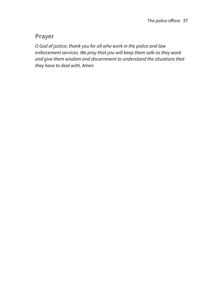### **Prayer**

*O God of justice, thank you for all who work in the police and law enforcement services. We pray that you will keep them safe as they work and give them wisdom and discernment to understand the situations that they have to deal with. Amen*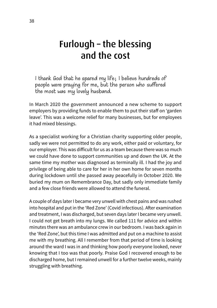# Furlough – the blessing and the cost

I thank God that he spared my life; I believe hundreds of people were praying for me, but the person who suffered the most was my lovely husband.

In March 2020 the government announced a new scheme to support employers by providing funds to enable them to put their staff on 'garden leave'. This was a welcome relief for many businesses, but for employees it had mixed blessings.

As a specialist working for a Christian charity supporting older people, sadly we were not permitted to do any work, either paid or voluntary, for our employer. This was difficult for us as a team because there was so much we could have done to support communities up and down the UK. At the same time my mother was diagnosed as terminally ill. I had the joy and privilege of being able to care for her in her own home for seven months during lockdown until she passed away peacefully in October 2020. We buried my mum on Remembrance Day, but sadly only immediate family and a few close friends were allowed to attend the funeral.

A couple of days later I became very unwell with chest pains and was rushed into hospital and put in the 'Red Zone' (Covid infectious). After examination and treatment, I was discharged, but seven days later I became very unwell. I could not get breath into my lungs. We called 111 for advice and within minutes there was an ambulance crew in our bedroom. I was back again in the 'Red Zone', but this time I was admitted and put on a machine to assist me with my breathing. All I remember from that period of time is looking around the ward I was in and thinking how poorly everyone looked, never knowing that I too was that poorly. Praise God I recovered enough to be discharged home, but I remained unwell for a further twelve weeks, mainly struggling with breathing.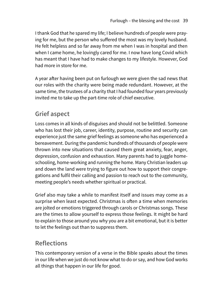I thank God that he spared my life; I believe hundreds of people were praying for me, but the person who suffered the most was my lovely husband. He felt helpless and so far away from me when I was in hospital and then when I came home, he lovingly cared for me. I now have long Covid which has meant that I have had to make changes to my lifestyle. However, God had more in store for me.

A year after having been put on furlough we were given the sad news that our roles with the charity were being made redundant. However, at the same time, the trustees of a charity that I had founded four years previously invited me to take up the part-time role of chief executive.

## **Grief aspect**

Loss comes in all kinds of disguises and should not be belittled. Someone who has lost their job, career, identity, purpose, routine and security can experience just the same grief feelings as someone who has experienced a bereavement. During the pandemic hundreds of thousands of people were thrown into new situations that caused them great anxiety, fear, anger, depression, confusion and exhaustion. Many parents had to juggle homeschooling, home-working and running the home. Many Christian leaders up and down the land were trying to figure out how to support their congregations and fulfil their calling and passion to reach out to the community, meeting people's needs whether spiritual or practical.

Grief also may take a while to manifest itself and issues may come as a surprise when least expected. Christmas is often a time when memories are jolted or emotions triggered through carols or Christmas songs. These are the times to allow yourself to express those feelings. It might be hard to explain to those around you why you are a bit emotional, but it is better to let the feelings out than to suppress them.

## **Reflections**

This contemporary version of a verse in the Bible speaks about the times in our life when we just do not know what to do or say, and how God works all things that happen in our life for good.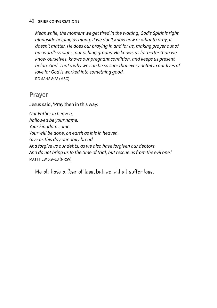*Meanwhile, the moment we get tired in the waiting, God's Spirit is right alongside helping us along. If we don't know how or what to pray, it doesn't matter. He does our praying in and for us, making prayer out of our wordless sighs, our aching groans. He knows us far better than we know ourselves, knows our pregnant condition, and keeps us present before God. That's why we can be so sure that every detail in our lives of love for God is worked into something good.* ROMANS 8:28 (MSG)

#### **Prayer**

Jesus said, 'Pray then in this way:

*Our Father in heaven, hallowed be your name. Your kingdom come. Your will be done, on earth as it is in heaven. Give us this day our daily bread. And forgive us our debts, as we also have forgiven our debtors. And do not bring us to the time of trial, but rescue us from the evil one.'* MATTHEW 6:9–13 (NRSV)

We all have a fear of loss, but we will all suffer loss.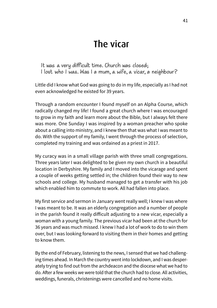# The vicar

It was a very difficult time. Church was closed; I lost who I was. Was I a mum, a wife, a vicar, a neighbour?

Little did I know what God was going to do in my life, especially as I had not even acknowledged he existed for 39 years.

Through a random encounter I found myself on an Alpha Course, which radically changed my life! I found a great church where I was encouraged to grow in my faith and learn more about the Bible, but I always felt there was more. One Sunday I was inspired by a woman preacher who spoke about a calling into ministry, and I knew then that was what I was meant to do. With the support of my family, I went through the process of selection, completed my training and was ordained as a priest in 2017.

My curacy was in a small village parish with three small congregations. Three years later I was delighted to be given my own church in a beautiful location in Derbyshire. My family and I moved into the vicarage and spent a couple of weeks getting settled in; the children found their way to new schools and college. My husband managed to get a transfer with his job which enabled him to commute to work. All had fallen into place.

My first service and sermon in January went really well; I knew I was where I was meant to be. It was an elderly congregation and a number of people in the parish found it really difficult adjusting to a new vicar, especially a woman with a young family. The previous vicar had been at the church for 36 years and was much missed. I knew I had a lot of work to do to win them over, but I was looking forward to visiting them in their homes and getting to know them.

By the end of February, listening to the news, I sensed that we had challenging times ahead. In March the country went into lockdown, and I was desperately trying to find out from the archdeacon and the diocese what we had to do. After a few weeks we were told that the church had to close. All activities, weddings, funerals, christenings were cancelled and no home visits.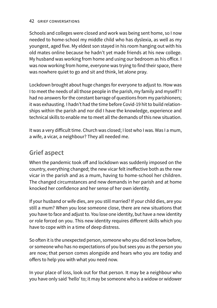Schools and colleges were closed and work was being sent home, so I now needed to home-school my middle child who has dyslexia, as well as my youngest, aged five. My eldest son stayed in his room hanging out with his old mates online because he hadn't yet made friends at his new college. My husband was working from home and using our bedroom as his office. I was now working from home, everyone was trying to find their space, there was nowhere quiet to go and sit and think, let alone pray.

Lockdown brought about huge changes for everyone to adjust to. How was I to meet the needs of all those people in the parish, my family and myself? I had no answers for the constant barrage of questions from my parishioners; it was exhausting. I hadn't had the time before Covid-19 hit to build relationships within the parish and nor did I have the knowledge, experience and technical skills to enable me to meet all the demands of this new situation.

It was a very difficult time. Church was closed; I lost who I was. Was I a mum, a wife, a vicar, a neighbour? They all needed me.

### **Grief aspect**

When the pandemic took off and lockdown was suddenly imposed on the country, everything changed; the new vicar felt ineffective both as the new vicar in the parish and as a mum, having to home-school her children. The changed circumstances and new demands in her parish and at home knocked her confidence and her sense of her own identity.

If your husband or wife dies, are you still married? If your child dies, are you still a mum? When you lose someone close, there are new situations that you have to face and adjust to. You lose one identity, but have a new identity or role forced on you. This new identity requires different skills which you have to cope with in a time of deep distress.

So often it is the unexpected person, someone who you did not know before, or someone who has no expectations of you but sees you as the person you are now; that person comes alongside and hears who you are today and offers to help you with what you need now.

In your place of loss, look out for that person. It may be a neighbour who you have only said 'hello' to; it may be someone who is a widow or widower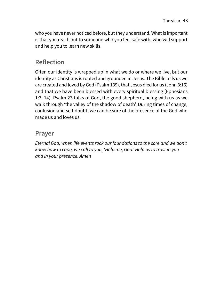who you have never noticed before, but they understand. What is important is that you reach out to someone who you feel safe with, who will support and help you to learn new skills.

## **Reflection**

Often our identity is wrapped up in what we do or where we live, but our identity as Christians is rooted and grounded in Jesus. The Bible tells us we are created and loved by God (Psalm 139), that Jesus died for us (John 3:16) and that we have been blessed with every spiritual blessing (Ephesians 1:3–14). Psalm 23 talks of God, the good shepherd, being with us as we walk through 'the valley of the shadow of death'. During times of change, confusion and self-doubt, we can be sure of the presence of the God who made us and loves us.

#### **Prayer**

*Eternal God, when life events rock our foundations to the core and we don't know how to cope, we call to you, 'Help me, God.' Help us to trust in you and in your presence. Amen*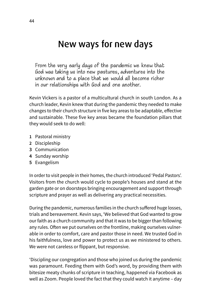# New ways for new days

From the very early days of the pandemic we knew that God was taking us into new pastures, adventures into the unknown and to a place that we would all become richer in our relationships with God and one another.

Kevin Vickers is a pastor of a multicultural church in south London. As a church leader, Kevin knew that during the pandemic they needed to make changes to their church structure in five key areas to be adaptable, effective and sustainable. These five key areas became the foundation pillars that they would seek to do well:

- **1** Pastoral ministry
- **2** Discipleship
- **3** Communication
- **4** Sunday worship
- **5** Evangelism

In order to visit people in their homes, the church introduced 'Pedal Pastors'. Visitors from the church would cycle to people's houses and stand at the garden gate or on doorsteps bringing encouragement and support through scripture and prayer as well as delivering any practical necessities.

During the pandemic, numerous families in the church suffered huge losses, trials and bereavement. Kevin says, 'We believed that God wanted to grow our faith as a church community and that it was to be bigger than following any rules. Often we put ourselves on the frontline, making ourselves vulnerable in order to comfort, care and pastor those in need. We trusted God in his faithfulness, love and power to protect us as we ministered to others. We were not careless or flippant, but responsive.

'Discipling our congregation and those who joined us during the pandemic was paramount. Feeding them with God's word, by providing them with bitesize meaty chunks of scripture in teaching, happened via Facebook as well as Zoom. People loved the fact that they could watch it anytime – day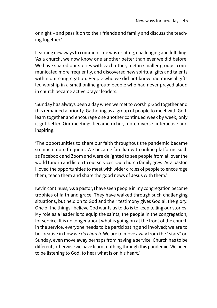or night – and pass it on to their friends and family and discuss the teaching together.'

Learning new ways to communicate was exciting, challenging and fulfilling. 'As a church, we now know one another better than ever we did before. We have shared our stories with each other, met in smaller groups, communicated more frequently, and discovered new spiritual gifts and talents within our congregation. People who we did not know had musical gifts led worship in a small online group; people who had never prayed aloud in church became active prayer leaders.

'Sunday has always been a day when we met to worship God together and this remained a priority. Gathering as a group of people to meet with God, learn together and encourage one another continued week by week, only it got better. Our meetings became richer, more diverse, interactive and inspiring.

'The opportunities to share our faith throughout the pandemic became so much more frequent. We became familiar with online platforms such as Facebook and Zoom and were delighted to see people from all over the world tune in and listen to our services. Our church family grew. As a pastor, I loved the opportunities to meet with wider circles of people to encourage them, teach them and share the good news of Jesus with them.'

Kevin continues, 'As a pastor, I have seen people in my congregation become trophies of faith and grace. They have walked through such challenging situations, but held on to God and their testimony gives God all the glory. One of the things I believe God wants us to do is to keep telling our stories. My role as a leader is to equip the saints, the people in the congregation, for service. It is no longer about what is going on at the front of the church in the service, everyone needs to be participating and involved; we are to be creative in how we *do church*. We are to move away from the "stars" on Sunday, even move away perhaps from having a service. Church has to be different, otherwise we have learnt nothing through this pandemic. We need to be listening to God, to hear what is on his heart.'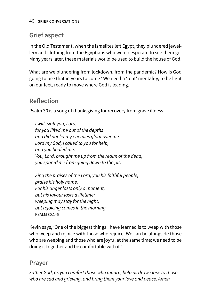# **Grief aspect**

In the Old Testament, when the Israelites left Egypt, they plundered jewellery and clothing from the Egyptians who were desperate to see them go. Many years later, these materials would be used to build the house of God.

What are we plundering from lockdown, from the pandemic? How is God going to use that in years to come? We need a 'tent' mentality, to be light on our feet, ready to move where God is leading.

## **Reflection**

Psalm 30 is a song of thanksgiving for recovery from grave illness.

*I will exalt you, Lord, for you lifted me out of the depths and did not let my enemies gloat over me. Lord my God, I called to you for help, and you healed me. You, Lord, brought me up from the realm of the dead; you spared me from going down to the pit.*

*Sing the praises of the Lord, you his faithful people; praise his holy name. For his anger lasts only a moment, but his favour lasts a lifetime; weeping may stay for the night, but rejoicing comes in the morning.* PSALM 30:1–5

Kevin says, 'One of the biggest things I have learned is to weep with those who weep and rejoice with those who rejoice. We can be alongside those who are weeping and those who are joyful at the same time; we need to be doing it together and be comfortable with it.'

### **Prayer**

*Father God, as you comfort those who mourn, help us draw close to those who are sad and grieving, and bring them your love and peace. Amen*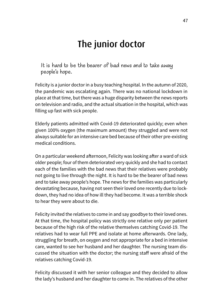# The junior doctor

It is hard to be the bearer of bad news and to take away people's hope.

Felicity is a junior doctor in a busy teaching hospital. In the autumn of 2020, the pandemic was escalating again. There was no national lockdown in place at that time, but there was a huge disparity between the news reports on television and radio, and the actual situation in the hospital, which was filling up fast with sick people.

Elderly patients admitted with Covid-19 deteriorated quickly; even when given 100% oxygen (the maximum amount) they struggled and were not always suitable for an intensive care bed because of their other pre-existing medical conditions.

On a particular weekend afternoon, Felicity was looking after a ward of sick older people; four of them deteriorated very quickly and she had to contact each of the families with the bad news that their relatives were probably not going to live through the night. It is hard to be the bearer of bad news and to take away people's hope. The news for the families was particularly devastating because, having not seen their loved one recently due to lockdown, they had no idea of how ill they had become. It was a terrible shock to hear they were about to die.

Felicity invited the relatives to come in and say goodbye to their loved ones. At that time, the hospital policy was strictly one relative only per patient because of the high risk of the relative themselves catching Covid-19. The relatives had to wear full PPE and isolate at home afterwards. One lady, struggling for breath, on oxygen and not appropriate for a bed in intensive care, wanted to see her husband and her daughter. The nursing team discussed the situation with the doctor; the nursing staff were afraid of the relatives catching Covid-19.

Felicity discussed it with her senior colleague and they decided to allow the lady's husband and her daughter to come in. The relatives of the other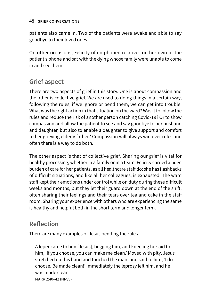patients also came in. Two of the patients were awake and able to say goodbye to their loved ones.

On other occasions, Felicity often phoned relatives on her own or the patient's phone and sat with the dying whose family were unable to come in and see them.

## **Grief aspect**

There are two aspects of grief in this story. One is about compassion and the other is collective grief. We are used to doing things in a certain way, following the rules; if we ignore or bend them, we can get into trouble. What was the right action in that situation on the ward? Was it to follow the rules and reduce the risk of another person catching Covid-19? Or to show compassion and allow the patient to see and say goodbye to her husband and daughter, but also to enable a daughter to give support and comfort to her grieving elderly father? Compassion will always win over rules and often there is a way to do both.

The other aspect is that of collective grief. Sharing our grief is vital for healthy processing, whether in a family or in a team. Felicity carried a huge burden of care for her patients, as all healthcare staff do; she has flashbacks of difficult situations, and like all her colleagues, is exhausted. The ward staff kept their emotions under control while on duty during these difficult weeks and months, but they let their guard down at the end of the shift, often sharing their feelings and their tears over tea and cake in the staff room. Sharing your experience with others who are experiencing the same is healthy and helpful both in the short term and longer term.

## **Reflection**

There are many examples of Jesus bending the rules.

A leper came to him [Jesus], begging him, and kneeling he said to him, 'If you choose, you can make me clean.' Moved with pity, Jesus stretched out his hand and touched the man, and said to him, 'I do choose. Be made clean!' Immediately the leprosy left him, and he was made clean.

MARK 2:40–42 (NRSV)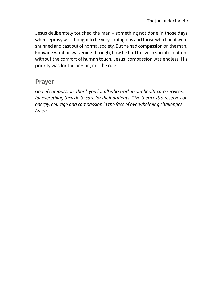Jesus deliberately touched the man – something not done in those days when leprosy was thought to be very contagious and those who had it were shunned and cast out of normal society. But he had compassion on the man, knowing what he was going through, how he had to live in social isolation, without the comfort of human touch. Jesus' compassion was endless. His priority was for the person, not the rule.

#### **Prayer**

*God of compassion, thank you for all who work in our healthcare services, for everything they do to care for their patients. Give them extra reserves of energy, courage and compassion in the face of overwhelming challenges. Amen*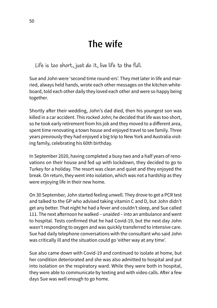# The wife

Life is too short, just do it, live life to the full.

Sue and John were 'second time round-ers'. They met later in life and married, always held hands, wrote each other messages on the kitchen whiteboard, told each other daily they loved each other and were so happy being together.

Shortly after their wedding, John's dad died, then his youngest son was killed in a car accident. This rocked John; he decided that life was too short, so he took early retirement from his job and they moved to a different area, spent time renovating a town house and enjoyed travel to see family. Three years previously they had enjoyed a big trip to New York and Australia visiting family, celebrating his 60th birthday.

In September 2020, having completed a busy two and a half years of renovations on their house and fed up with lockdown, they decided to go to Turkey for a holiday. The resort was clean and quiet and they enjoyed the break. On return, they went into isolation, which was not a hardship as they were enjoying life in their new home.

On 30 September, John started feeling unwell. They drove to get a PCR test and talked to the GP who advised taking vitamin C and D, but John didn't get any better. That night he had a fever and couldn't sleep, and Sue called 111. The next afternoon he walked – unaided – into an ambulance and went to hospital. Tests confirmed that he had Covid-19, but the next day John wasn't responding to oxygen and was quickly transferred to intensive care. Sue had daily telephone conversations with the consultant who said John was critically ill and the situation could go 'either way at any time'.

Sue also came down with Covid-19 and continued to isolate at home, but her condition deteriorated and she was also admitted to hospital and put into isolation on the respiratory ward. While they were both in hospital, they were able to communicate by texting and with video calls. After a few days Sue was well enough to go home.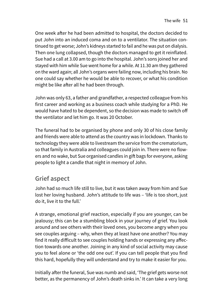One week after he had been admitted to hospital, the doctors decided to put John into an induced coma and on to a ventilator. The situation continued to get worse; John's kidneys started to fail and he was put on dialysis. Then one lung collapsed, though the doctors managed to get it reinflated. Sue had a call at 3.00 am to go into the hospital. John's sons joined her and stayed with him while Sue went home for a while. At 11.30 am they gathered on the ward again; all John's organs were failing now, including his brain. No one could say whether he would be able to recover, or what his condition might be like after all he had been through.

John was only 63, a father and grandfather, a respected colleague from his first career and working as a business coach while studying for a PhD. He would have hated to be dependent, so the decision was made to switch off the ventilator and let him go. It was 20 October.

The funeral had to be organised by phone and only 30 of his close family and friends were able to attend as the country was in lockdown. Thanks to technology they were able to livestream the service from the crematorium, so that family in Australia and colleagues could join in. There were no flowers and no wake, but Sue organised candles in gift bags for everyone, asking people to light a candle that night in memory of John.

### **Grief aspect**

John had so much life still to live, but it was taken away from him and Sue lost her loving husband. John's attitude to life was – 'life is too short, just do it, live it to the full.'

A strange, emotional grief reaction, especially if you are younger, can be jealousy; this can be a stumbling block in your journey of grief. You look around and see others with their loved ones, you become angry when you see couples arguing – why, when they at least have one another? You may find it really difficult to see couples holding hands or expressing any affection towards one another. Joining in any kind of social activity may cause you to feel alone or 'the odd one out'. If you can tell people that you find this hard, hopefully they will understand and try to make it easier for you.

Initially after the funeral, Sue was numb and said, 'The grief gets worse not better, as the permanency of John's death sinks in.' It can take a very long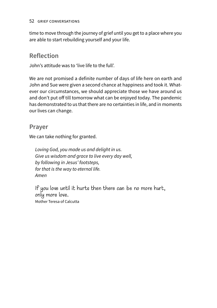time to move through the journey of grief until you get to a place where you are able to start rebuilding yourself and your life.

#### **Reflection**

John's attitude was to 'live life to the full'.

We are not promised a definite number of days of life here on earth and John and Sue were given a second chance at happiness and took it. Whatever our circumstances, we should appreciate those we have around us and don't put off till tomorrow what can be enjoyed today. The pandemic has demonstrated to us that there are no certainties in life, and in moments our lives can change.

#### **Prayer**

We can take nothing for granted.

*Loving God, you made us and delight in us. Give us wisdom and grace to live every day well, by following in Jesus' footsteps, for that is the way to eternal life. Amen*

If you love until it hurts then there can be no more hurt, only more love. Mother Teresa of Calcutta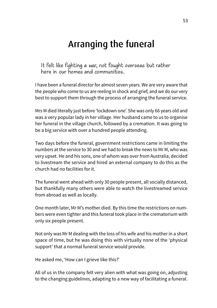# Arranging the funeral

It felt like fighting a war, not fought overseas but rather here in our homes and communities.

I have been a funeral director for almost seven years. We are very aware that the people who come to us are reeling in shock and grief, and we do our very best to support them through the process of arranging the funeral service.

Mrs M died literally just before 'lockdown one'. She was only 66 years old and was a very popular lady in her village. Her husband came to us to organise her funeral in the village church, followed by a cremation. It was going to be a big service with over a hundred people attending.

Two days before the funeral, government restrictions came in limiting the numbers at the service to 30 and we had to break the news to Mr M, who was very upset. He and his sons, one of whom was over from Australia, decided to livestream the service and hired an external company to do this as the church had no facilities for it.

The funeral went ahead with only 30 people present, all socially distanced, but thankfully many others were able to watch the livestreamed service from abroad as well as locally.

One month later, Mr M's mother died. By this time the restrictions on numbers were even tighter and this funeral took place in the crematorium with only six people present.

Not only was Mr M dealing with the loss of his wife and his mother in a short space of time, but he was doing this with virtually none of the 'physical support' that a normal funeral service would provide.

He asked me, 'How can I grieve like this?'

All of us in the company felt very alien with what was going on, adjusting to the changing guidelines, adapting to a new way of facilitating a funeral.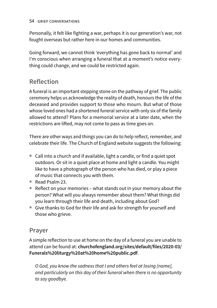Personally, it felt like fighting a war, perhaps it is our generation's war, not fought overseas but rather here in our homes and communities.

Going forward, we cannot think 'everything has gone back to normal' and I'm conscious when arranging a funeral that at a moment's notice everything could change, and we could be restricted again.

## **Reflection**

A funeral is an important stepping stone on the pathway of grief. The public ceremony helps us acknowledge the reality of death, honours the life of the deceased and provides support to those who mourn. But what of those whose loved ones had a shortened funeral service with only six of the family allowed to attend? Plans for a memorial service at a later date, when the restrictions are lifted, may not come to pass as time goes on.

There are other ways and things you can do to help reflect, remember, and celebrate their life. The Church of England website suggests the following:

- Call into a church and if available, light a candle, or find a quiet spot outdoors. Or sit in a quiet place at home and light a candle. You might like to have a photograph of the person who has died, or play a piece of music that connects you with them.
- Read Psalm 23.
- Reflect on your memories what stands out in your memory about the person? What will you always remember about them? What things did you learn through their life and death, including about God?
- Give thanks to God for their life and ask for strength for yourself and those who grieve.

### **Prayer**

A simple reflection to use at home on the day of a funeral you are unable to attend can be found at: **[churchofengland.org/sites/default/files/2020-03/](http://www.churchofengland.org/sites/default/files/2020-03/Funerals%20liturgy%20at%20home%20public.pdf) [Funerals%20liturgy%20at%20home%20public.pdf](http://www.churchofengland.org/sites/default/files/2020-03/Funerals%20liturgy%20at%20home%20public.pdf)**.

*O God, you know the sadness that I and others feel at losing [name], and particularly on this day of their funeral when there is no opportunity to say goodbye.*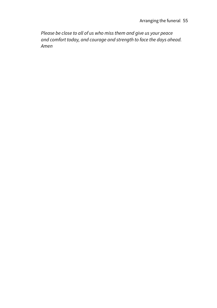*Please be close to all of us who miss them and give us your peace and comfort today, and courage and strength to face the days ahead. Amen*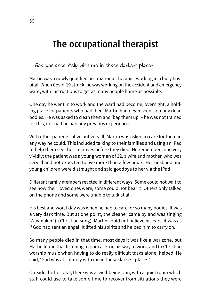# The occupational therapist

God was absolutely with me in those darkest places.

Martin was a newly qualified occupational therapist working in a busy hospital. When Covid-19 struck, he was working on the accident and emergency ward, with instructions to get as many people home as possible.

One day he went in to work and the ward had become, overnight, a holding place for patients who had died. Martin had never seen so many dead bodies. He was asked to clean them and 'bag them up' – he was not trained for this, nor had he had any previous experience.

With other patients, alive but very ill, Martin was asked to care for them in any way he could. This included talking to their families and using an iPad to help them see their relatives before they died. He remembers one very vividly; the patient was a young woman of 32, a wife and mother, who was very ill and not expected to live more than a few hours. Her husband and young children were distraught and said goodbye to her via the iPad.

Different family members reacted in different ways. Some could not wait to see how their loved ones were, some could not bear it. Others only talked on the phone and some were unable to talk at all.

His best and worst day was when he had to care for so many bodies. It was a very dark time. But at one point, the cleaner came by and was singing 'Waymaker' (a Christian song). Martin could not believe his ears; it was as if God had sent an angel! It lifted his spirits and helped him to carry on.

So many people died in that time, most days it was like a war zone, but Martin found that listening to podcasts on his way to work, and to Christian worship music when having to do really difficult tasks alone, helped. He said, 'God was absolutely with me in those darkest places.'

Outside the hospital, there was a 'well-being' van, with a quiet room which staff could use to take some time to recover from situations they were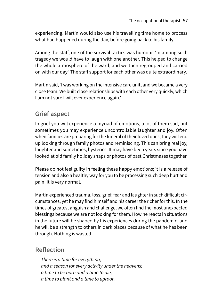experiencing. Martin would also use his travelling time home to process what had happened during the day, before going back to his family.

Among the staff, one of the survival tactics was humour. 'In among such tragedy we would have to laugh with one another. This helped to change the whole atmosphere of the ward, and we then regrouped and carried on with our day.' The staff support for each other was quite extraordinary.

Martin said, 'I was working on the intensive care unit, and we became a very close team. We built close relationships with each other very quickly, which I am not sure I will ever experience again.'

## **Grief aspect**

In grief you will experience a myriad of emotions, a lot of them sad, but sometimes you may experience uncontrollable laughter and joy. Often when families are preparing for the funeral of their loved ones, they will end up looking through family photos and reminiscing. This can bring real joy, laughter and sometimes, hysterics. It may have been years since you have looked at old family holiday snaps or photos of past Christmases together.

Please do not feel guilty in feeling these happy emotions; it is a release of tension and also a healthy way for you to be processing such deep hurt and pain. It is very normal.

Martin experienced trauma, loss, grief, fear and laughter in such difficult circumstances, yet he may find himself and his career the richer for this. In the times of greatest anguish and challenge, we often find the most unexpected blessings because we are not looking for them. How he reacts in situations in the future will be shaped by his experiences during the pandemic, and he will be a strength to others in dark places because of what he has been through. Nothing is wasted.

### **Reflection**

*There is a time for everything, and a season for every activity under the heavens: a time to be born and a time to die, a time to plant and a time to uproot,*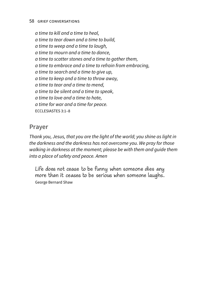*a time to kill and a time to heal, a time to tear down and a time to build, a time to weep and a time to laugh, a time to mourn and a time to dance, a time to scatter stones and a time to gather them, a time to embrace and a time to refrain from embracing, a time to search and a time to give up, a time to keep and a time to throw away, a time to tear and a time to mend, a time to be silent and a time to speak, a time to love and a time to hate, a time for war and a time for peace.* ECCLESIASTES 3:1–8

#### **Prayer**

*Thank you, Jesus, that you are the light of the world; you shine as light in the darkness and the darkness has not overcome you. We pray for those walking in darkness at the moment; please be with them and guide them into a place of safety and peace. Amen* 

Life does not cease to be funny when someone dies any more than it ceases to be serious when someone laughs. George Bernard Shaw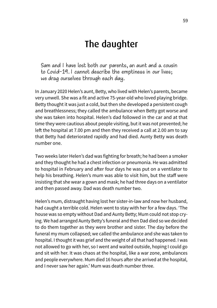# The daughter

Sam and I have lost both our parents, an aunt and a cousin to Covid-19. I cannot describe the emptiness in our lives; we drag ourselves through each day.

In January 2020 Helen's aunt, Betty, who lived with Helen's parents, became very unwell. She was a fit and active 75-year-old who loved playing bridge. Betty thought it was just a cold, but then she developed a persistent cough and breathlessness; they called the ambulance when Betty got worse and she was taken into hospital. Helen's dad followed in the car and at that time they were cautious about people visiting, but it was not prevented; he left the hospital at 7.00 pm and then they received a call at 2.00 am to say that Betty had deteriorated rapidly and had died. Aunty Betty was death number one.

Two weeks later Helen's dad was fighting for breath; he had been a smoker and they thought he had a chest infection or pneumonia. He was admitted to hospital in February and after four days he was put on a ventilator to help his breathing. Helen's mum was able to visit him, but the staff were insisting that she wear a gown and mask; he had three days on a ventilator and then passed away. Dad was death number two.

Helen's mum, distraught having lost her sister-in-law and now her husband, had caught a terrible cold. Helen went to stay with her for a few days. 'The house was so empty without Dad and Aunty Betty; Mum could not stop crying. We had arranged Aunty Betty's funeral and then Dad died so we decided to do them together as they were brother and sister. The day before the funeral my mum collapsed; we called the ambulance and she was taken to hospital. I thought it was grief and the weight of all that had happened. I was not allowed to go with her, so I went and waited outside, hoping I could go and sit with her. It was chaos at the hospital, like a war zone, ambulances and people everywhere. Mum died 16 hours after she arrived at the hospital, and I never saw her again.' Mum was death number three.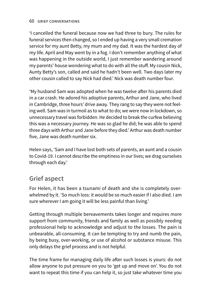'I cancelled the funeral because now we had three to bury. The rules for funeral services then changed, so I ended up having a very small cremation service for my aunt Betty, my mum and my dad. It was the hardest day of my life. April and May went by in a fog. I don't remember anything of what was happening in the outside world, I just remember wandering around my parents' house wondering what to do with all the stuff. My cousin Nick, Aunty Betty's son, called and said he hadn't been well. Two days later my other cousin called to say Nick had died.' Nick was death number four.

'My husband Sam was adopted when he was twelve after his parents died in a car crash. He adored his adoptive parents, Arthur and Jane, who lived in Cambridge, three hours' drive away. They rang to say they were not feeling well. Sam was in turmoil as to what to do; we were now in lockdown, so unnecessary travel was forbidden. He decided to break the curfew believing this was a necessary journey. He was so glad he did; he was able to spend three days with Arthur and Jane before they died.' Arthur was death number five, Jane was death number six.

Helen says, 'Sam and I have lost both sets of parents, an aunt and a cousin to Covid-19. I cannot describe the emptiness in our lives; we drag ourselves through each day.'

## **Grief aspect**

For Helen, it has been a tsunami of death and she is completely overwhelmed by it. 'So much loss: it would be so much easier if I also died. I am sure wherever I am going it will be less painful than living.'

Getting through multiple bereavements takes longer and requires more support from community, friends and family as well as possibly needing professional help to acknowledge and adjust to the losses. The pain is unbearable, all-consuming. It can be tempting to try and numb the pain, by being busy, over-working, or use of alcohol or substance misuse. This only delays the grief process and is not helpful.

The time frame for managing daily life after such losses is yours: do not allow anyone to put pressure on you to 'get up and move on'. You do not want to repeat this time if you can help it, so just take whatever time you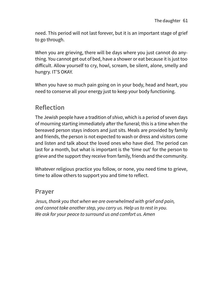need. This period will not last forever, but it is an important stage of grief to go through.

When you are grieving, there will be days where you just cannot do anything. You cannot get out of bed, have a shower or eat because it is just too difficult. Allow yourself to cry, howl, scream, be silent, alone, smelly and hungry. IT'S OKAY.

When you have so much pain going on in your body, head and heart, you need to conserve all your energy just to keep your body functioning.

### **Reflection**

The Jewish people have a tradition of *shiva*, which is a period of seven days of mourning starting immediately after the funeral; this is a time when the bereaved person stays indoors and just sits. Meals are provided by family and friends, the person is not expected to wash or dress and visitors come and listen and talk about the loved ones who have died. The period can last for a month, but what is important is the 'time out' for the person to grieve and the support they receive from family, friends and the community.

Whatever religious practice you follow, or none, you need time to grieve, time to allow others to support you and time to reflect.

#### **Prayer**

*Jesus, thank you that when we are overwhelmed with grief and pain, and cannot take another step, you carry us. Help us to rest in you. We ask for your peace to surround us and comfort us. Amen*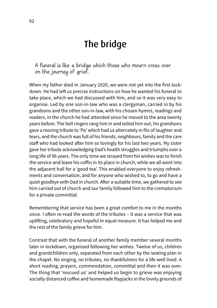# The bridge

A funeral is like a bridge which those who mourn cross over on the journey of grief.

When my father died in January 2020, we were not yet into the first lockdown. He had left us precise instructions on how he wanted his funeral to take place, which we had discussed with him, and so it was very easy to organise. Led by one son-in-law who was a clergyman, carried in by his grandsons and the other son-in-law, with his chosen hymns, readings and readers, in the church he had attended since he moved to the area twenty years before. The bell ringers rang him in and tolled him out, his grandsons gave a moving tribute to 'Pa' which had us alternately in fits of laughter and tears, and the church was full of his friends, neighbours, family and the care staff who had looked after him so lovingly for his last two years. My sister gave her tribute acknowledging Dad's health struggles and triumphs over a long life of 96 years. The only time we strayed from his wishes was to finish the service and leave his coffin in its place in church, while we all went into the adjacent hall for a 'good tea'. This enabled everyone to enjoy refreshments and conversation, and for anyone who wished to, to go and have a quiet goodbye with Dad in church. After a suitable time, we gathered to see him carried out of church and our family followed him to the crematorium for a private committal.

Remembering that service has been a great comfort to me in the months since. I often re-read the words of the tributes – it was a service that was uplifting, celebratory and hopeful in equal measure. It has helped me and the rest of the family grieve for him.

Contrast that with the funeral of another family member several months later in lockdown, organised following her wishes. Twelve of us, children and grandchildren only, separated from each other by the seating plan in the chapel. No singing, no tributes, no thankfulness for a life well lived. A short reading, prayers, commendation, committal and then it was over. The thing that 'rescued us' and helped us begin to grieve was enjoying socially distanced coffee and homemade flapjacks in the lovely grounds of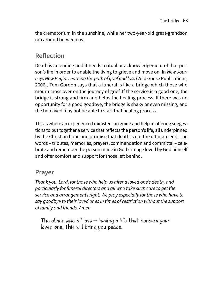the crematorium in the sunshine, while her two-year-old great-grandson ran around between us.

## **Reflection**

Death is an ending and it needs a ritual or acknowledgement of that person's life in order to enable the living to grieve and move on. In *New Journeys Now Begin: Learning the path of grief and loss* (Wild Goose Publications, 2006), Tom Gordon says that a funeral is like a bridge which those who mourn cross over on the journey of grief. If the service is a good one, the bridge is strong and firm and helps the healing process. If there was no opportunity for a good goodbye, the bridge is shaky or even missing, and the bereaved may not be able to start that healing process.

This is where an experienced minister can guide and help in offering suggestions to put together a service that reflects the person's life, all underpinned by the Christian hope and promise that death is not the ultimate end. The words – tributes, memories, prayers, commendation and committal – celebrate and remember the person made in God's image loved by God himself and offer comfort and support for those left behind.

#### **Prayer**

*Thank you, Lord, for those who help us after a loved one's death, and particularly for funeral directors and all who take such care to get the service and arrangements right. We pray especially for those who have to say goodbye to their loved ones in times of restriction without the support of family and friends. Amen*

The other side of loss  $-$  having a life that honours your loved one. This will bring you peace.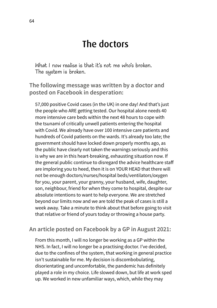# The doctors

What I now realise is that it's not me who's broken. The system is broken.

**The following message was written by a doctor and posted on Facebook in desperation:**

57,000 positive Covid cases (in the UK) in one day! And that's just the people who ARE getting tested. Our hospital alone needs 40 more intensive care beds within the next 48 hours to cope with the tsunami of critically unwell patients entering the hospital with Covid. We already have over 100 intensive care patients and hundreds of Covid patients on the wards. It's already too late; the government should have locked down properly months ago, as the public have clearly not taken the warnings seriously and this is why we are in this heart-breaking, exhausting situation now. If the general public continue to disregard the advice healthcare staff are imploring you to heed, then it is on YOUR HEAD that there will not be enough doctors/nurses/hospital beds/ventilators/oxygen for you, your parent, your granny, your husband, wife, daughter, son, neighbour, friend for when they come to hospital, despite our absolute intentions to want to help everyone. We are stretched beyond our limits now and we are told the peak of cases is still a week away. Take a minute to think about that before going to visit that relative or friend of yours today or throwing a house party.

#### **An article posted on Facebook by a GP in August 2021:**

From this month, I will no longer be working as a GP within the NHS. In fact, I will no longer be a practising doctor. I've decided, due to the confines of the system, that working in general practice isn't sustainable for me. My decision is discombobulating, disorientating and uncomfortable, the pandemic has definitely played a role in my choice. Life slowed down, but life at work sped up. We worked in new unfamiliar ways, which, while they may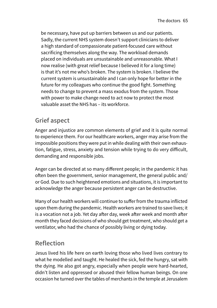be necessary, have put up barriers between us and our patients. Sadly, the current NHS system doesn't support clinicians to deliver a high standard of compassionate patient-focused care without sacrificing themselves along the way. The workload demands placed on individuals are unsustainable and unreasonable. What I now realise (with great relief because I believed it for a long time) is that it's not me who's broken. The system is broken. I believe the current system is unsustainable and I can only hope for better in the future for my colleagues who continue the good fight. Something needs to change to prevent a mass exodus from the system. Those with power to make change need to act now to protect the most valuable asset the NHS has – its workforce.

## **Grief aspect**

Anger and injustice are common elements of grief and it is quite normal to experience them. For our healthcare workers, anger may arise from the impossible positions they were put in while dealing with their own exhaustion, fatigue, stress, anxiety and tension while trying to do very difficult, demanding and responsible jobs.

Anger can be directed at so many different people; in the pandemic it has often been the government, senior management, the general public and/ or God. Due to such heightened emotions and situations, it is important to acknowledge the anger because persistent anger can be destructive.

Many of our health workers will continue to suffer from the trauma inflicted upon them during the pandemic. Health workers are trained to save lives; it is a vocation not a job. Yet day after day, week after week and month after month they faced decisions of who should get treatment, who should get a ventilator, who had the chance of possibly living or dying today.

# **Reflection**

Jesus lived his life here on earth loving those who lived lives contrary to what he modelled and taught. He healed the sick, fed the hungry, sat with the dying. He also got angry, especially when people were hard-hearted, didn't listen and oppressed or abused their fellow human beings. On one occasion he turned over the tables of merchants in the temple at Jerusalem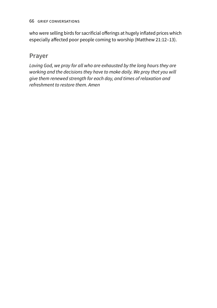who were selling birds for sacrificial offerings at hugely inflated prices which especially affected poor people coming to worship (Matthew 21:12–13).

#### **Prayer**

*Loving God, we pray for all who are exhausted by the long hours they are working and the decisions they have to make daily. We pray that you will give them renewed strength for each day, and times of relaxation and refreshment to restore them. Amen*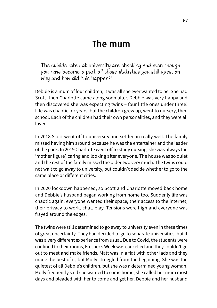# The mum

The suicide rates at university are shocking and even though you have become a part of those statistics you still question why and how did this happen?

Debbie is a mum of four children; it was all she ever wanted to be. She had Scott, then Charlotte came along soon after. Debbie was very happy and then discovered she was expecting twins – four little ones under three! Life was chaotic for years, but the children grew up, went to nursery, then school. Each of the children had their own personalities, and they were all loved.

In 2018 Scott went off to university and settled in really well. The family missed having him around because he was the entertainer and the leader of the pack. In 2019 Charlotte went off to study nursing; she was always the 'mother figure', caring and looking after everyone. The house was so quiet and the rest of the family missed the older two very much. The twins could not wait to go away to university, but couldn't decide whether to go to the same place or different cities.

In 2020 lockdown happened, so Scott and Charlotte moved back home and Debbie's husband began working from home too. Suddenly life was chaotic again: everyone wanted their space, their access to the internet, their privacy to work, chat, play. Tensions were high and everyone was frayed around the edges.

The twins were still determined to go away to university even in these times of great uncertainty. They had decided to go to separate universities, but it was a very different experience from usual. Due to Covid, the students were confined to their rooms, Fresher's Week was cancelled and they couldn't go out to meet and make friends. Matt was in a flat with other lads and they made the best of it, but Molly struggled from the beginning. She was the quietest of all Debbie's children, but she was a determined young woman. Molly frequently said she wanted to come home; she called her mum most days and pleaded with her to come and get her. Debbie and her husband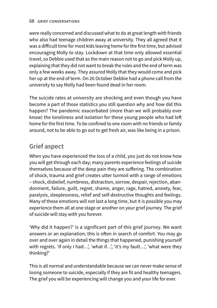were really concerned and discussed what to do at great length with friends who also had teenage children away at university. They all agreed that it was a difficult time for most kids leaving home for the first time, but advised encouraging Molly to stay. Lockdown at that time only allowed essential travel, so Debbie used that as the main reason not to go and pick Molly up, explaining that they did not want to break the rules and the end of term was only a few weeks away. They assured Molly that they would come and pick her up at the end of term. On 26 October Debbie had a phone call from the university to say Molly had been found dead in her room.

The suicide rates at university are shocking and even though you have become a part of those statistics you still question why and how did this happen? The pandemic exacerbated (more than we will probably ever know) the loneliness and isolation for these young people who had left home for the first time. To be confined to one room with no friends or family around, not to be able to go out to get fresh air, was like being in a prison.

### **Grief aspect**

When you have experienced the loss of a child, you just do not know how you will get through each day; many parents experience feelings of suicide themselves because of the deep pain they are suffering. The combination of shock, trauma and grief creates utter turmoil with a range of emotions – shock, disbelief, numbness, distraction, sorrow, despair, rejection, abandonment, failure, guilt, regret, shame, anger, rage, hatred, anxiety, fear, paralysis, sleeplessness, relief and self-destructive thoughts and feelings. Many of these emotions will not last a long time, but it is possible you may experience them all at one stage or another on your grief journey. The grief of suicide will stay with you forever.

'Why did it happen?' is a significant part of this grief journey. We want answers or an explanation; this is often in search of comfort. You may go over and over again in detail the things that happened, punishing yourself with regrets. 'If only I had...', 'what if...', 'it's my fault...', 'what were they thinking?'

This is all normal and understandable because we can never make sense of losing someone to suicide, especially if they are fit and healthy teenagers. The grief you will be experiencing will change you and your life for ever.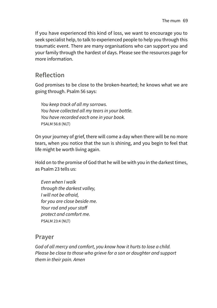If you have experienced this kind of loss, we want to encourage you to seek specialist help, to talk to experienced people to help you through this traumatic event. There are many organisations who can support you and your family through the hardest of days. Please see the resources page for more information.

### **Reflection**

God promises to be close to the broken-hearted; he knows what we are going through. Psalm 56 says:

*You keep track of all my sorrows. You have collected all my tears in your bottle. You have recorded each one in your book.* PSALM 56:8 (NLT)

On your journey of grief, there will come a day when there will be no more tears, when you notice that the sun is shining, and you begin to feel that life might be worth living again.

Hold on to the promise of God that he will be with you in the darkest times, as Psalm 23 tells us:

*Even when I walk through the darkest valley, I will not be afraid, for you are close beside me. Your rod and your staff protect and comfort me.* PSALM 23:4 (NLT)

#### **Prayer**

*God of all mercy and comfort, you know how it hurts to lose a child. Please be close to those who grieve for a son or daughter and support them in their pain. Amen*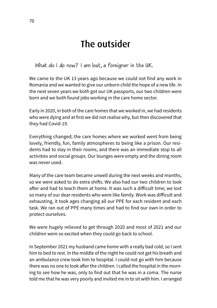# The outsider

What do I do now? I am lost, a foreigner in the UK.

We came to the UK 13 years ago because we could not find any work in Romania and we wanted to give our unborn child the hope of a new life. In the next seven years we both got our UK passports, our two children were born and we both found jobs working in the care home sector.

Early in 2020, in both of the care homes that we worked in, we had residents who were dying and at first we did not realise why, but then discovered that they had Covid-19.

Everything changed; the care homes where we worked went from being lovely, friendly, fun, family atmospheres to being like a prison. Our residents had to stay in their rooms, and there was an immediate stop to all activities and social groups. Our lounges were empty and the dining room was never used.

Many of the care team became unwell during the next weeks and months, so we were asked to do extra shifts. We also had our two children to look after and had to teach them at home. It was such a difficult time; we lost so many of our dear residents who were like family. Work was difficult and exhausting, it took ages changing all our PPE for each resident and each task. We ran out of PPE many times and had to find our own in order to protect ourselves.

We were hugely relieved to get through 2020 and most of 2021 and our children were so excited when they could go back to school.

In September 2021 my husband came home with a really bad cold, so I sent him to bed to rest. In the middle of the night he could not get his breath and an ambulance crew took him to hospital. I could not go with him because there was no one to look after the children. I called the hospital in the morning to see how he was, only to find out that he was in a coma. The nurse told me that he was very poorly and invited me in to sit with him. I arranged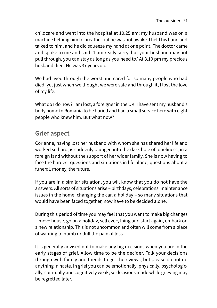childcare and went into the hospital at 10.25 am; my husband was on a machine helping him to breathe, but he was not awake. I held his hand and talked to him, and he did squeeze my hand at one point. The doctor came and spoke to me and said, 'I am really sorry, but your husband may not pull through, you can stay as long as you need to.' At 3.10 pm my precious husband died. He was 37 years old.

We had lived through the worst and cared for so many people who had died, yet just when we thought we were safe and through it, I lost the love of my life.

What do I do now? I am lost, a foreigner in the UK. I have sent my husband's body home to Romania to be buried and had a small service here with eight people who knew him. But what now?

## **Grief aspect**

Corianne, having lost her husband with whom she has shared her life and worked so hard, is suddenly plunged into the dark hole of loneliness, in a foreign land without the support of her wider family. She is now having to face the hardest questions and situations in life alone; questions about a funeral, money, the future.

If you are in a similar situation, you will know that you do not have the answers. All sorts of situations arise – birthdays, celebrations, maintenance issues in the home, changing the car, a holiday – so many situations that would have been faced together, now have to be decided alone.

During this period of time you may feel that you want to make big changes – move house, go on a holiday, sell everything and start again, embark on a new relationship. This is not uncommon and often will come from a place of wanting to numb or dull the pain of loss.

It is generally advised not to make any big decisions when you are in the early stages of grief. Allow time to be the decider. Talk your decisions through with family and friends to get their views, but please do not do anything in haste. In grief you can be emotionally, physically, psychologically, spiritually and cognitively weak, so decisions made while grieving may be regretted later.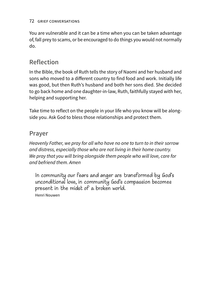#### 72 grief conversations

You are vulnerable and it can be a time when you can be taken advantage of, fall prey to scams, or be encouraged to do things you would not normally do.

### **Reflection**

In the Bible, the book of Ruth tells the story of Naomi and her husband and sons who moved to a different country to find food and work. Initially life was good, but then Ruth's husband and both her sons died. She decided to go back home and one daughter-in-law, Ruth, faithfully stayed with her, helping and supporting her.

Take time to reflect on the people in your life who you know will be alongside you. Ask God to bless those relationships and protect them.

#### **Prayer**

*Heavenly Father, we pray for all who have no one to turn to in their sorrow and distress, especially those who are not living in their home country. We pray that you will bring alongside them people who will love, care for and befriend them. Amen* 

In community our fears and anger are transformed by God's unconditional love, in community God's compassion becomes present in the midst of a broken world. Henri Nouwen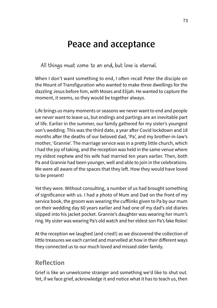# Peace and acceptance

All things must come to an end, but love is eternal.

When I don't want something to end, I often recall Peter the disciple on the Mount of Transfiguration who wanted to make three dwellings for the dazzling Jesus before him, with Moses and Elijah. He wanted to capture the moment, it seems, so they would be together always.

Life brings us many moments or seasons we never want to end and people we never want to leave us, but endings and partings are an inevitable part of life. Earlier in the summer, our family gathered for my sister's youngest son's wedding. This was the third date, a year after Covid lockdown and 18 months after the deaths of our beloved dad, 'Pa', and my brother-in-law's mother, 'Grannie'. The marriage service was in a pretty little church, which I had the joy of taking, and the reception was held in the same venue where my eldest nephew and his wife had married ten years earlier. Then, both Pa and Grannie had been younger, well and able to join in the celebrations. We were all aware of the spaces that they left. How they would have loved to be present!

Yet they were. Without consulting, a number of us had brought something of significance with us. I had a photo of Mum and Dad on the front of my service book, the groom was wearing the cufflinks given to Pa by our mum on their wedding day 60 years earlier and had one of my dad's old diaries slipped into his jacket pocket. Grannie's daughter was wearing her mum's ring. My sister was wearing Pa's old watch and her eldest son Pa's fake Rolex!

At the reception we laughed (and cried!) as we discovered the collection of little treasures we each carried and marvelled at how in their different ways they connected us to our much loved and missed older family.

### **Reflection**

Grief is like an unwelcome stranger and something we'd like to shut out. Yet, if we face grief, acknowledge it and notice what it has to teach us, then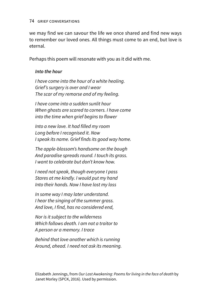#### 74 grief conversations

we may find we can savour the life we once shared and find new ways to remember our loved ones. All things must come to an end, but love is eternal.

Perhaps this poem will resonate with you as it did with me.

#### *Into the hour*

*I have come into the hour of a white healing. Grief's surgery is over and I wear The scar of my remorse and of my feeling.*

*I have come into a sudden sunlit hour When ghosts are scared to corners. I have come into the time when grief begins to flower*

*Into a new love. It had filled my room Long before I recognised it. Now I speak its name. Grief finds its good way home.*

*The apple-blossom's handsome on the bough And paradise spreads round. I touch its grass. I want to celebrate but don't know how.*

*I need not speak, though everyone I pass Stares at me kindly. I would put my hand Into their hands. Now I have lost my loss*

*In some way I may later understand. I hear the singing of the summer grass. And love, I find, has no considered end,*

*Nor is it subject to the wilderness Which follows death. I am not a traitor to A person or a memory. I trace*

*Behind that love another which is running Around, ahead. I need not ask its meaning.*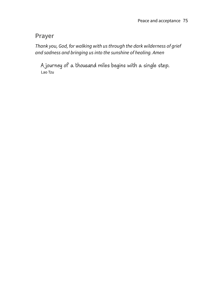#### **Prayer**

*Thank you, God, for walking with us through the dark wilderness of grief and sadness and bringing us into the sunshine of healing. Amen* 

A journey of a thousand miles begins with a single step. Lao Tzu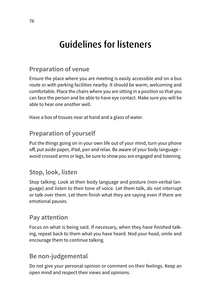# Guidelines for listeners

## **Preparation of venue**

Ensure the place where you are meeting is easily accessible and on a bus route or with parking facilities nearby. It should be warm, welcoming and comfortable. Place the chairs where you are sitting in a position so that you can face the person and be able to have eye contact. Make sure you will be able to hear one another well.

Have a box of tissues near at hand and a glass of water.

## **Preparation of yourself**

Put the things going on in your own life out of your mind, turn your phone off, put aside paper, iPad, pen and relax. Be aware of your body language – avoid crossed arms or legs, be sure to show you are engaged and listening.

## **Stop, look, listen**

Stop talking. Look at their body language and posture (non-verbal language) and listen to their tone of voice. Let them talk, do not interrupt or talk over them. Let them finish what they are saying even if there are emotional pauses.

### **Pay attention**

Focus on what is being said. If necessary, when they have finished talking, repeat back to them what you have heard. Nod your head, smile and encourage them to continue talking.

## **Be non-judgemental**

Do not give your personal opinion or comment on their feelings. Keep an open mind and respect their views and opinions.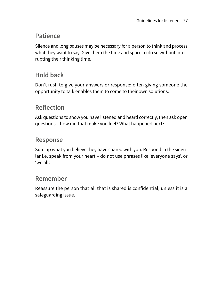### **Patience**

Silence and long pauses may be necessary for a person to think and process what they want to say. Give them the time and space to do so without interrupting their thinking time.

## **Hold back**

Don't rush to give your answers or response; often giving someone the opportunity to talk enables them to come to their own solutions.

## **Reflection**

Ask questions to show you have listened and heard correctly, then ask open questions – how did that make you feel? What happened next?

### **Response**

Sum up what you believe they have shared with you. Respond in the singular i.e. speak from your heart – do not use phrases like 'everyone says', or 'we all'.

### **Remember**

Reassure the person that all that is shared is confidential, unless it is a safeguarding issue.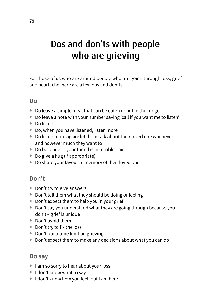# Dos and don'ts with people who are grieving

For those of us who are around people who are going through loss, grief and heartache, here are a few dos and don'ts:

#### **Do**

- Do leave a simple meal that can be eaten or put in the fridge
- Do leave a note with your number saying 'call if you want me to listen'
- Do listen
- Do, when you have listened, listen more
- Do listen more again: let them talk about their loved one whenever and however much they want to
- Do be tender your friend is in terrible pain
- Do give a hug (if appropriate)
- Do share your favourite memory of their loved one

#### **Don't**

- Don't try to give answers
- Don't tell them what they should be doing or feeling
- Don't expect them to help you in your grief
- Don't say you understand what they are going through because you don't – grief is unique
- Don't avoid them
- Don't try to fix the loss
- Don't put a time limit on grieving
- Don't expect them to make any decisions about what you can do

#### **Do say**

- I am so sorry to hear about your loss
- I don't know what to say
- I don't know how you feel, but I am here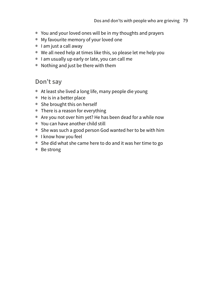- You and your loved ones will be in my thoughts and prayers
- My favourite memory of your loved one
- I am just a call away
- We all need help at times like this, so please let me help you
- I am usually up early or late, you can call me
- Nothing and just be there with them

#### **Don't say**

- At least she lived a long life, many people die young
- He is in a better place
- She brought this on herself
- There is a reason for everything
- Are you not over him yet? He has been dead for a while now
- You can have another child still
- She was such a good person God wanted her to be with him
- I know how you feel
- She did what she came here to do and it was her time to go
- Be strong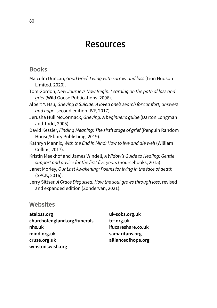## Resources

#### **Books**

|                 | Malcolm Duncan, Good Grief: Living with sorrow and loss (Lion Hudson |  |
|-----------------|----------------------------------------------------------------------|--|
| Limited, 2020). |                                                                      |  |

- Tom Gordon, *New Journeys Now Begin: Learning on the path of loss and grief* (Wild Goose Publications, 2006).
- Albert Y. Hsu, *Grieving a Suicide: A loved one's search for comfort, answers and hope*, second edition (IVP, 2017).
- Jerusha Hull McCormack, *Grieving: A beginner's guide* (Darton Longman and Todd, 2005).
- David Kessler, *Finding Meaning: The sixth stage of grief* (Penguin Random House/Ebury Publishing, 2019).
- Kathryn Mannix, *With the End in Mind: How to live and die well* (William Collins, 2017).
- Kristin Meekhof and James Windell, *A Widow's Guide to Healing: Gentle support and advice for the first five years* (Sourcebooks, 2015).
- Janet Morley, *Our Last Awakening: Poems for living in the face of death* (SPCK, 2016).
- Jerry Sittser, *A Grace Disguised: How the soul grows through loss*, revised and expanded edition (Zondervan, 2021).

#### **Websites**

**[uk-sobs.org.uk](http://www.uk-sobs.org.uk) [tcf.org.uk](http://www.tcf.org.uk) [ifucareshare.co.uk](http://www.ifucareshare.co.uk) [samaritans.org](http://www.samaritans.org) [allianceofhope.org](http://www.allianceofhope.org)**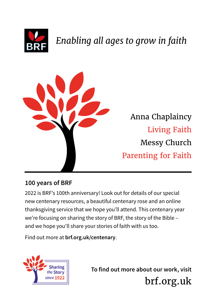

# *Enabling all ages to grow in faith*



[Anna Chaplaincy](https://www.annachaplaincy.org.uk) [Living Faith](https://www.brf.org.uk/what-we-do/living-faith/) [Messy Church](http://www.messychurch.org.uk) [Parenting for Faith](https://www.parentingforfaith.org)

## **100 years of BRF**

2022 is BRF's 100th anniversary! Look out for details of our special new centenary resources, a beautiful centenary rose and an online thanksgiving service that we hope you'll attend. This centenary year we're focusing on sharing the story of BRF, the story of the Bible – and we hope you'll share your stories of faith with us too.

Find out more at **[brf.org.uk/centenary](https://brf.org.uk/centenary)**.



**To find out more about our work, visit**  [brf.org.uk](https://www.brf.org.uk)